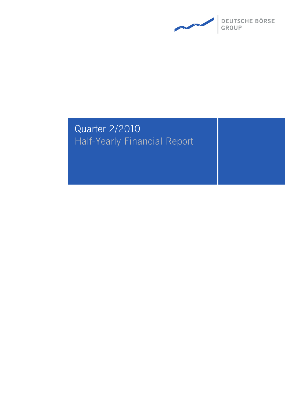

# Quarter 2/2010 Half-Yearly Financial Report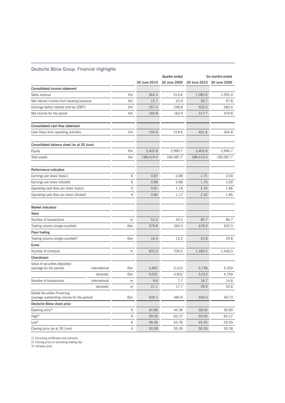### Deutsche Börse Group: Financial Highlights

 $\overline{a}$ 

|                                                                                   |               |     |              | Quarter ended |              | Six months ended |
|-----------------------------------------------------------------------------------|---------------|-----|--------------|---------------|--------------|------------------|
|                                                                                   |               |     | 30 June 2010 | 30 June 2009  | 30 June 2010 | 30 June 2009     |
| Consolidated income statement                                                     |               |     |              |               |              |                  |
| Sales revenue                                                                     |               | €m  | 564.4        | 515.6         | 1,083.6      | 1,055.4          |
| Net interest income from banking business                                         |               | €m  | 15.7         | 25.9          | 26.7         | 57.8             |
| Earnings before interest and tax (EBIT)                                           |               | €m  | 257.4        | 248.8         | 503.0        | 560.4            |
| Net income for the period                                                         |               | €m  | 160.8        | 164.9         | 317.7        | 370.8            |
| Consolidated cash flow statement                                                  |               |     |              |               |              |                  |
| Cash flows from operating activities                                              |               | €m  | 150.9        | 218.6         | 451.6        | 344.8            |
| Consolidated balance sheet (as at 30 June)                                        |               |     |              |               |              |                  |
| Equity                                                                            |               | €m  | 3,403.8      | 2,990.7       | 3,403.8      | 2,990.7          |
| Total assets                                                                      |               | €m  | 188,419.4    | 185,087.7     | 188,419.4    | 185,087.7        |
| Performance indicators                                                            |               |     |              |               |              |                  |
| Earnings per share (basic)                                                        |               | €   | 0.87         | 0.89          | 1.71         | 2.00             |
| Earnings per share (diluted)                                                      |               | €   | 0.86         | 0.88          | 1.70         | 2.00             |
| Operating cash flow per share (basic)                                             |               | €   | 0.81         | 1.18          | 2.43         | 1.86             |
| Operating cash flow per share (diluted)                                           |               | €   | 0.80         | 1.17          | 2.42         | 1.85             |
| <b>Market indicators</b>                                                          |               |     |              |               |              |                  |
| Xetra                                                                             |               |     |              |               |              |                  |
| Number of transactions                                                            |               | m   | 52.0         | 43.2          | 95.7         | 86.7             |
| Trading volume (single-counted)                                                   |               | €bn | 379.8        | 265.0         | 678.9        | 520.3            |
| <b>Floor trading</b>                                                              |               |     |              |               |              |                  |
| Trading volume (single-counted) <sup>1)</sup>                                     |               | €bn | 16.4         | 15.2          | 32.8         | 29.8             |
| Eurex                                                                             |               |     |              |               |              |                  |
| Number of contracts                                                               |               | m   | 833.5        | 709.5         | 1,485.5      | 1,406.0          |
| Clearstream                                                                       |               |     |              |               |              |                  |
| Value of securities deposited<br>(average for the period)                         | international | €bn | 5,882        | 5,410         | 5,738        | 5,350            |
|                                                                                   | domestic      | €bn | 5,031        | 4,832         | 5,013        | 4,759            |
| Number of transactions                                                            | international | m   | 9.6          | 7.7           | 18.7         | 14.8             |
|                                                                                   | domestic      | m   | 21.1         | 17.7          | 39.9         | 34.6             |
| <b>Global Securities Financing</b><br>(average outstanding volume for the period) |               | €bn | 509.2        | 484.8         | 500.0        | 467.9            |
| Deutsche Börse share price                                                        |               |     |              |               |              |                  |
| Opening price <sup>2)</sup>                                                       |               | €   | 54.88        | 45.38         | 58.00        | 50.80            |
| High <sup>3</sup>                                                                 |               | €   | 59.00        | 65.27         | 59.00        | 65.27            |
| Low <sup>3</sup>                                                                  |               | €   | 48.46        | 43.78         | 45.45        | 29.50            |
| Closing price (as at 30 June)                                                     |               | €   | 50.08        | 55.28         | 50.08        | 55.28            |

1) Excluding certificates and warrants

2) Closing price on preceding trading day

3) Intraday price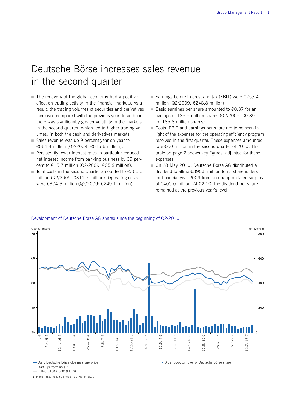## Deutsche Börse increases sales revenue in the second quarter

- $\blacksquare$  The recovery of the global economy had a positive effect on trading activity in the financial markets. As a result, the trading volumes of securities and derivatives increased compared with the previous year. In addition, there was significantly greater volatility in the markets in the second quarter, which led to higher trading volumes, in both the cash and derivatives markets.
- Sales revenue was up 9 percent year-on-year to €564.4 million (Q2/2009: €515.6 million).
- **Persistently lower interest rates in particular reduced** net interest income from banking business by 39 percent to €15.7 million (Q2/2009: €25.9 million).
- Total costs in the second quarter amounted to  $€356.0$ million (Q2/2009: €311.7 million). Operating costs were €304.6 million (Q2/2009: €249.1 million).
- Earnings before interest and tax (EBIT) were  $\epsilon$ 257.4 million (Q2/2009: €248.8 million).
- Basic earnings per share amounted to  $60.87$  for an average of 185.9 million shares (Q2/2009: €0.89 for 185.8 million shares).
- Costs, EBIT and earnings per share are to be seen in light of the expenses for the operating efficiency program resolved in the first quarter. These expenses amounted to €82.0 million in the second quarter of 2010. The table on page 2 shows key figures, adjusted for these expenses.
- On 28 May 2010, Deutsche Börse AG distributed a dividend totalling €390.5 million to its shareholders for financial year 2009 from an unappropriated surplus of €400.0 million. At €2.10, the dividend per share remained at the previous year's level.

Order book turnover of Deutsche Börse share



#### Development of Deutsche Börse AG shares since the beginning of Q2/2010

- Daily Deutsche Börse closing share price

EURO STOXX 50® (EUR)1)

1) Index-linked, closing price on 31 March 2010

 $-DAX^@$  performance<sup>1)</sup>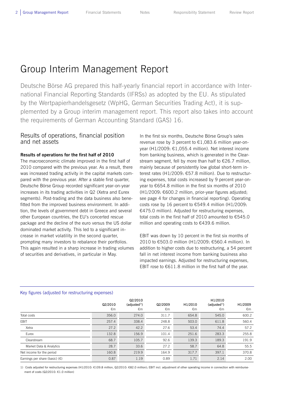## Group Interim Management Report

Deutsche Börse AG prepared this half-yearly financial report in accordance with International Financial Reporting Standards (IFRSs) as adopted by the EU. As stipulated by the Wertpapierhandelsgesetz (WpHG, German Securities Trading Act), it is supplemented by a Group interim management report. This report also takes into account the requirements of German Accounting Standard (GAS) 16.

## Results of operations, financial position and net assets

### **Results of operations for the first half of 2010**

The macroeconomic climate improved in the first half of 2010 compared with the previous year. As a result, there was increased trading activity in the capital markets compared with the previous year. After a stable first quarter, Deutsche Börse Group recorded significant year-on-year increases in its trading activities in Q2 (Xetra and Eurex segments). Post-trading and the data business also benefitted from the improved business environment. In addition, the levels of government debt in Greece and several other European countries, the EU's concerted rescue package and the decline of the euro versus the US dollar dominated market activity. This led to a significant increase in market volatility in the second quarter, prompting many investors to rebalance their portfolios. This again resulted in a sharp increase in trading volumes of securities and derivatives, in particular in May.

In the first six months, Deutsche Börse Group's sales revenue rose by 3 percent to €1,083.6 million year-onyear (H1/2009: €1,055.4 million). Net interest income from banking business, which is generated in the Clearstream segment, fell by more than half to €26.7 million, mainly because of persistently low global short-term interest rates (H1/2009: €57.8 million). Due to restructuring expenses, total costs increased by 9 percent year-onyear to €654.8 million in the first six months of 2010 (H1/2009: €600.2 million, prior-year figures adjusted; see page 4 for changes in financial reporting). Operating costs rose by 16 percent to €549.4 million (H1/2009: €475.0 million). Adjusted for restructuring expenses, total costs in the first half of 2010 amounted to €545.0 million and operating costs to €439.6 million.

EBIT was down by 10 percent in the first six months of 2010 to €503.0 million (H1/2009: €560.4 million). In addition to higher costs due to restructuring, a 54 percent fall in net interest income from banking business also impacted earnings. Adjusted for restructuring expenses, EBIT rose to  $\epsilon$ 611.8 million in the first half of the year.

|                                         | Q2/2010<br>€m | Q2/2010<br>(adjusted <sup>1</sup> )<br>€m | Q2/2009<br>€m | H1/2010<br>€m | H1/2010<br>(adjusted <sup>1</sup> )<br>€m | H1/2009<br>€m |
|-----------------------------------------|---------------|-------------------------------------------|---------------|---------------|-------------------------------------------|---------------|
| Total costs                             | 356.0         | 274.0                                     | 311.7         | 654.8         | 545.0                                     | 600.2         |
| EBIT                                    | 257.4         | 338.4                                     | 248.8         | 503.0         | 611.8                                     | 560.4         |
| Xetra                                   | 27.2          | 42.2                                      | 27.6          | 53.4          | 74.4                                      | 57.2          |
| Eurex                                   | 132.8         | 156.9                                     | 101.4         | 251.6         | 283.3                                     | 255.8         |
| Clearstream                             | 68.7          | 105.7                                     | 92.6          | 139.3         | 189.3                                     | 191.9         |
| Market Data & Analytics                 | 28.7          | 33.6                                      | 27.2          | 58.7          | 64.8                                      | 55.5          |
| Net income for the period               | 160.8         | 219.9                                     | 164.9         | 317.7         | 397.1                                     | 370.8         |
| Earnings per share (basic) $(\epsilon)$ | 0.87          | 1.19                                      | 0.89          | 1.71          | 2.14                                      | 2.00          |

#### Key figures (adjusted for restructuring expenses)

 $\overline{a}$ 

1) Costs adjusted for restructuring expenses (H1/2010: €109.8 million, Q2/2010: €82.0 million); EBIT incl. adjustment of other operating income in connection with reimbursement of costs (Q2/2010: €1.0 million)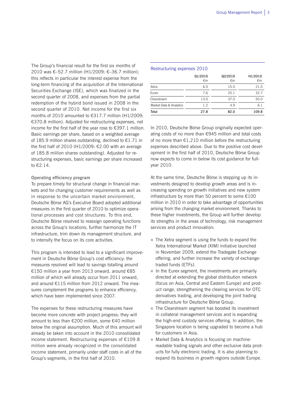The Group's financial result for the first six months of 2010 was €–52.7 million (H1/2009: €–36.7 million); this reflects in particular the interest expense from the long-term financing of the acquisition of the International Securities Exchange (ISE), which was finalized in the second quarter of 2008, and expenses from the partial redemption of the hybrid bond issued in 2008 in the second quarter of 2010. Net income for the first six months of 2010 amounted to €317.7 million (H1/2009: €370.8 million). Adjusted for restructuring expenses, net income for the first half of the year rose to €397.1 million. Basic earnings per share, based on a weighted average of 185.9 million shares outstanding, declined to €1.71 in the first half of 2010 (H1/2009: €2.00 with an average of 185.8 million shares outstanding). Adjusted for restructuring expenses, basic earnings per share increased to €2.14.

#### **Operating efficiency program**

To prepare timely for structural change in financial markets and for changing customer requirements as well as in response to the uncertain market environment, Deutsche Börse AG's Executive Board adopted additional measures in the first quarter of 2010 to optimize operational processes and cost structures. To this end, Deutsche Börse resolved to reassign operating functions across the Group's locations, further harmonize the IT infrastructure, trim down its management structure, and to intensify the focus on its core activities.

This program is intended to lead to a significant improvement in Deutsche Börse Group's cost efficiency: the measures resolved will lead to savings totalling around €150 million a year from 2013 onward, around €85 million of which will already occur from 2011 onward, and around €115 million from 2012 onward. The measures complement the programs to enhance efficiency, which have been implemented since 2007.

The expenses for these restructuring measures have become more concrete with project progress: they will amount to less than €200 million, some €40 million below the original assumption. Much of this amount will already be taken into account in the 2010 consolidated income statement. Restructuring expenses of €109.8 million were already recognized in the consolidated income statement, primarily under staff costs in all of the Group's segments, in the first half of 2010.

#### Restructuring expenses 2010

|                         | Q1/2010<br>€m | Q2/2010<br>€m | H1/2010<br>€m |
|-------------------------|---------------|---------------|---------------|
| Xetra                   | 6.0           | 15.0          | 21.0          |
| Furex                   | 7.6           | 25.1          | 32.7          |
| Clearstream             | 13.0          | 37.0          | 50.0          |
| Market Data & Analytics | 1.2           | 4.9           | 6.1           |
| Total                   | 27.8          | 82.0          | 109.8         |

In 2010, Deutsche Börse Group originally expected operating costs of no more than €945 million and total costs of no more than €1,210 million before the restructuring expenses described above. Due to the positive cost development in the first half of 2010, Deutsche Börse Group now expects to come in below its cost guidance for fullyear 2010.

At the same time, Deutsche Börse is stepping up its investments designed to develop growth areas and is increasing spending on growth initiatives and new system infrastructure by more than 50 percent to some €100 million in 2010 in order to take advantage of opportunities arising from the changing market environment. Thanks to these higher investments, the Group will further develop its strengths in the areas of technology, risk management services and product innovation:

- $\blacksquare$  The Xetra segment is using the funds to expand the Xetra International Market (XIM) initiative launched in November 2009, extend the Tradegate Exchange offering, and further increase the variety of exchangetraded funds (ETFs).
- In the Eurex segment, the investments are primarily directed at extending the global distribution network (focus on Asia, Central and Eastern Europe) and product range, strengthening the clearing services for OTC derivatives trading, and developing the joint trading infrastructure for Deutsche Börse Group.
- The Clearstream segment has boosted its investment in collateral management services and is expanding the high-end custody services offering. In addition, the Singapore location is being upgraded to become a hub for customers in Asia.
- Market Data & Analytics is focusing on machinereadable trading signals and other exclusive data products for fully electronic trading. It is also planning to expand its business in growth regions outside Europe.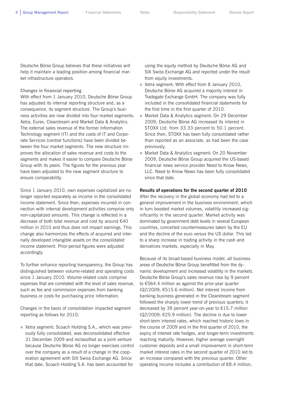Deutsche Börse Group believes that these initiatives will help it maintain a leading position among financial market infrastructure operators.

#### **Changes in financial reporting**

With effect from 1 January 2010, Deutsche Börse Group has adjusted its internal reporting structure and, as a consequence, its segment structure. The Group's business activities are now divided into four market segments: Xetra, Eurex, Clearstream and Market Data & Analytics. The external sales revenue of the former Information Technology segment (IT) and the costs of IT and Corporate Services (central functions) have been divided between the four market segments. The new structure improves the allocation of sales revenue and costs to the segments and makes it easier to compare Deutsche Börse Group with its peers. The figures for the previous year have been adjusted to the new segment structure to ensure comparability.

Since 1 January 2010, own expenses capitalized are no longer reported separately as income in the consolidated income statement. Since then, expenses incurred in connection with internal development activities comprise only non-capitalized amounts. This change is reflected in a decrease of both total revenue and cost by around €40 million in 2010 and thus does not impact earnings. This change also harmonizes the effects of acquired and internally developed intangible assets on the consolidated income statement. Prior-period figures were adjusted accordingly.

To further enhance reporting transparency, the Group has distinguished between volume-related and operating costs since 1 January 2010. Volume-related costs comprise expenses that are correlated with the level of sales revenue, such as fee and commission expenses from banking business or costs for purchasing price information.

Changes in the basis of consolidation impacted segment reporting as follows for 2010:

■ Xetra segment: Scoach Holding S.A., which was previously fully consolidated, was deconsolidated effective 31 December 2009 and reclassified as a joint venture because Deutsche Börse AG no longer exercises control over the company as a result of a change in the cooperation agreement with SIX Swiss Exchange AG. Since that date, Scoach Holding S.A. has been accounted for

using the equity method by Deutsche Börse AG and SIX Swiss Exchange AG and reported under the result from equity investments.

- Xetra segment: With effect from 8 January 2010, Deutsche Börse AG acquired a majority interest in Tradegate Exchange GmbH. The company was fully included in the consolidated financial statements for the first time in the first quarter of 2010.
- Market Data & Analytics segment: On 29 December 2009, Deutsche Börse AG increased its interest in STOXX Ltd. from 33.33 percent to 50.1 percent. Since then, STOXX has been fully consolidated rather than reported as an associate, as had been the case previously.
- Market Data & Analytics segment: On 20 November 2009, Deutsche Börse Group acquired the US-based financial news service provider Need to Know News, LLC. Need to Know News has been fully consolidated since that date.

#### **Results of operations for the second quarter of 2010**

After the recovery in the global economy had led to a general improvement in the business environment, which in turn boosted market volumes, volatility increased significantly in the second quarter. Market activity was dominated by government debt levels in several European countries, concerted countermeasures taken by the EU and the decline of the euro versus the US dollar. This led to a sharp increase in trading activity in the cash and derivatives markets, especially in May.

Because of its broad-based business model, all business areas of Deutsche Börse Group benefitted from the dynamic development and increased volatility in the markets. Deutsche Börse Group's sales revenue rose by 9 percent to €564.4 million as against the prior-year quarter (Q2/2009: €515.6 million). Net interest income from banking business generated in the Clearstream segment followed the sharply lower trend of previous quarters; it decreased by 39 percent year-on-year to €15.7 million (Q2/2009: €25.9 million). The decline is due to lower short-term interest rates, which reached historic lows in the course of 2009 and in the first quarter of 2010, the expiry of interest rate hedges, and longer-term investments reaching maturity. However, higher average overnight customer deposits and a small improvement in short-term market interest rates in the second quarter of 2010 led to an increase compared with the previous quarter. Other operating income includes a contribution of €8.4 million,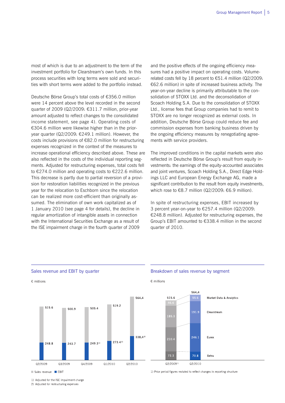most of which is due to an adjustment to the term of the investment portfolio for Clearstream's own funds. In this process securities with long terms were sold and securities with short terms were added to the portfolio instead.

Deutsche Börse Group's total costs of €356.0 million were 14 percent above the level recorded in the second quarter of 2009 (Q2/2009: €311.7 million, prior-year amount adjusted to reflect changes to the consolidated income statement, see page 4). Operating costs of €304.6 million were likewise higher than in the prioryear quarter (Q2/2009: €249.1 million). However, the costs include provisions of €82.0 million for restructuring expenses recognized in the context of the measures to increase operational efficiency described above. These are also reflected in the costs of the individual reporting segments. Adjusted for restructuring expenses, total costs fell to €274.0 million and operating costs to €222.6 million. This decrease is partly due to partial reversion of a provision for restoration liabilities recognized in the previous year for the relocation to Eschborn since the relocation can be realized more cost-efficient than originally assumed. The elimination of own work capitalized as of 1 January 2010 (see page 4 for details), the decline in regular amortization of intangible assets in connection with the International Securities Exchange as a result of the ISE impairment charge in the fourth quarter of 2009

and the positive effects of the ongoing efficiency measures had a positive impact on operating costs. Volumerelated costs fell by 18 percent to €51.4 million (Q2/2009: €62.6 million) in spite of increased business activity. The year-on-year decline is primarily attributable to the consolidation of STOXX Ltd. and the deconsolidation of Scoach Holding S.A. Due to the consolidation of STOXX Ltd., license fees that Group companies had to remit to STOXX are no longer recognized as external costs. In addition, Deutsche Börse Group could reduce fee and commission expenses from banking business driven by the ongoing efficiency measures by renegotiating agreements with service providers.

The improved conditions in the capital markets were also reflected in Deutsche Börse Group's result from equity investments: the earnings of the equity-accounted associates and joint ventures, Scoach Holding S.A., Direct Edge Holdings LLC and European Energy Exchange AG, made a significant contribution to the result from equity investments, which rose to €8.7 million (Q2/2009:  $€6.9$  million).

In spite of restructuring expenses, EBIT increased by 3 percent year-on-year to €257.4 million (Q2/2009: €248.8 million). Adjusted for restructuring expenses, the Group's EBIT amounted to €338.4 million in the second quarter of 2010.



Sales revenue EBIT

1) Adjusted for the ISE impairment charge

2) Adjusted for restructuring expenses

#### Sales revenue and EBIT by quarter **Breakdown of sales revenue by segment**

 $\epsilon$  millions

1) Prior period figures restated to reflect changes in reporting structure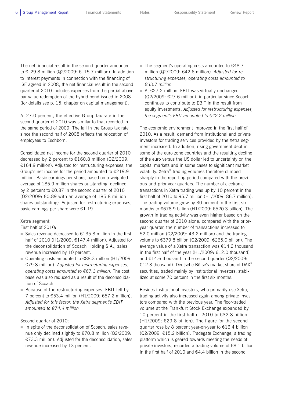The net financial result in the second quarter amounted to €–29.8 million (Q2/2009: €–15.7 million). In addition to interest payments in connection with the financing of ISE agreed in 2008, the net financial result in the second quarter of 2010 includes expenses from the partial above par value redemption of the hybrid bond issued in 2008 (for details see p. 15, chapter on capital management).

At 27.0 percent, the effective Group tax rate in the second quarter of 2010 was similar to that recorded in the same period of 2009. The fall in the Group tax rate since the second half of 2008 reflects the relocation of employees to Eschborn.

Consolidated net income for the second quarter of 2010 decreased by 2 percent to €160.8 million (Q2/2009: €164.9 million). Adjusted for restructuring expenses, the Group's net income for the period amounted to €219.9 million. Basic earnings per share, based on a weighted average of 185.9 million shares outstanding, declined by 2 percent to €0.87 in the second quarter of 2010 (Q2/2009: €0.89 with an average of 185.8 million shares outstanding). Adjusted for restructuring expenses, basic earnings per share were €1.19.

#### **Xetra segment**

First half of 2010:

- Sales revenue decreased to  $£135.8$  million in the first half of 2010 (H1/2009: €147.4 million). Adjusted for the deconsolidation of Scoach Holding S.A., sales revenue increased by 10 percent.
- Operating costs amounted to  $€88.3$  million (H1/2009: €79.8 million). *Adjusted for restructuring expenses, operating costs amounted to €67.3 million.* The cost base was also reduced as a result of the deconsolidation of Scoach.
- Because of the restructuring expenses, EBIT fell by 7 percent to €53.4 million (H1/2009: €57.2 million). *Adjusted for this factor, the Xetra segment's EBIT amounted to €74.4 million.*

### Second quarter of 2010:

In spite of the deconsolidation of Scoach, sales revenue only declined slightly to €70.8 million (Q2/2009: €73.3 million). Adjusted for the deconsolidation, sales revenue increased by 13 percent.

- The segment's operating costs amounted to  $€48.7$ million (Q2/2009: €42.6 million). *Adjusted for restructuring expenses, operating costs amounted to €33.7 million.*
- At €27.2 million, EBIT was virtually unchanged (Q2/2009: €27.6 million), in particular since Scoach continues to contribute to EBIT in the result from equity investments. *Adjusted for restructuring expenses, the segment's EBIT amounted to €42.2 million.*

The economic environment improved in the first half of 2010. As a result, demand from institutional and private investors for trading services provided by the Xetra segment increased. In addition, rising government debt in some of the euro zone countries and the resulting decline of the euro versus the US dollar led to uncertainty on the capital markets and in some cases to significant market volatility. Xetra® trading volumes therefore climbed sharply in the reporting period compared with the previous and prior-year quarters. The number of electronic transactions in Xetra trading was up by 10 percent in the first half of 2010 to 95.7 million (H1/2009: 86.7 million). The trading volume grew by 30 percent in the first six months to €678.9 billion (H1/2009: €520.3 billion). The growth in trading activity was even higher based on the second quarter of 2010 alone: compared with the prioryear quarter, the number of transactions increased to 52.0 million (Q2/2009: 43.2 million) and the trading volume to €379.8 billion (Q2/2009: €265.0 billion). The average value of a Xetra transaction was €14.2 thousand in the first half of the year (H1/2009: €12.0 thousand) and €14.6 thousand in the second quarter (Q2/2009: €12.3 thousand). Deutsche Börse's market share of DAX® securities, traded mainly by institutional investors, stabilized at some 70 percent in the first six months.

Besides institutional investors, who primarily use Xetra, trading activity also increased again among private investors compared with the previous year. The floor-traded volume at the Frankfurt Stock Exchange expanded by 10 percent in the first half of 2010 to €32.8 billion (H1/2009: €29.8 billion). The figure for the second quarter rose by 8 percent year-on-year to €16.4 billion (Q2/2009: €15.2 billion). Tradegate Exchange, a trading platform which is geared towards meeting the needs of private investors, recorded a trading volume of €8.1 billion in the first half of 2010 and €4.4 billion in the second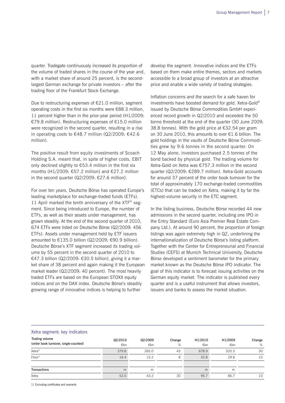quarter. Tradegate continuously increased its proportion of the volume of traded shares in the course of the year and, with a market share of around 25 percent, is the secondlargest German exchange for private investors – after the trading floor of the Frankfurt Stock Exchange.

Due to restructuring expenses of  $E21.0$  million, segment operating costs in the first six months were €88.3 million, 11 percent higher than in the prior-year period (H1/2009: €79.8 million). Restructuring expenses of €15.0 million were recognized in the second quarter, resulting in a rise in operating costs to €48.7 million (Q2/2009: €42.6 million).

The positive result from equity investments of Scoach Holding S.A. meant that, in spite of higher costs, EBIT only declined slightly to  $\epsilon$ 53.4 million in the first six months (H1/2009:  $657.2$  million) and  $627.2$  million in the second quarter (Q2/2009: €27.6 million).

For over ten years, Deutsche Börse has operated Europe's leading marketplace for exchange-traded funds (ETFs). 11 April marked the tenth anniversary of the  $XTF^{\omega}$  segment. Since being introduced to Europe, the number of ETFs, as well as their assets under management, has grown steadily. At the end of the second quarter of 2010, 674 ETFs were listed on Deutsche Börse (Q2/2009: 456 ETFs). Assets under management held by ETF issuers amounted to €135.0 billion (Q2/2009: €90.9 billion). Deutsche Börse's XTF segment increased its trading volume by 55 percent in the second quarter of 2010 to €47.3 billion (Q2/2009: €30.5 billion), giving it a market share of 38 percent and again making it the European market leader (Q2/2009: 40 percent). The most heavily traded ETFs are based on the European STOXX equity indices and on the DAX index. Deutsche Börse's steadily growing range of innovative indices is helping to further

develop the segment. Innovative indices and the ETFs based on them make entire themes, sectors and markets accessible to a broad group of investors at an attractive price and enable a wide variety of trading strategies.

Inflation concerns and the search for a safe haven for investments have boosted demand for gold. Xetra-Gold® issued by Deutsche Börse Commodities GmbH experienced record growth in Q2/2010 and exceeded the 50 tonne threshold at the end of the quarter (30 June 2009: 38.8 tonnes). With the gold price at €32.54 per gram on 30 June 2010, this amounts to over €1.6 billion. The gold holdings in the vaults of Deutsche Börse Commodities grew by 9.6 tonnes in the second quarter. On 12 May alone, investors purchased 2.5 tonnes of the bond backed by physical gold. The trading volume for Xetra-Gold on Xetra was €757.3 million in the second quarter (Q2/2009: €289.7 million). Xetra-Gold accounts for around 37 percent of the order book turnover for the total of approximately 170 exchange-traded commodities (ETCs) that can be traded on Xetra, making it by far the highest-volume security in the ETC segment.

In the listing business, Deutsche Börse recorded 44 new admissions in the second quarter, including one IPO in the Entry Standard (Euro Asia Premier Real Estate Company Ltd.). At around 90 percent, the proportion of foreign listings was again extremely high in Q2, underlining the internationalization of Deutsche Börse's listing platform. Together with the Center for Entrepreneurial and Financial Studies (CEFS) at Munich Technical University, Deutsche Börse developed a sentiment barometer for the primary market known as the Deutsche Börse IPO Indicator. The goal of this indicator is to forecast issuing activities on the German equity market. The indicator is published every quarter and is a useful instrument that allows investors, issuers and banks to assess the market situation.

#### Xetra segment: key indicators

| Trading volume<br>(order book turnover, single-counted) | Q2/2010<br>€bn | Q2/2009<br>€bn | Change<br>% | H1/2010<br>€bn | H1/2009<br>€bn | Change<br>% |
|---------------------------------------------------------|----------------|----------------|-------------|----------------|----------------|-------------|
| Xetra <sup>®</sup>                                      | 379.8          | 265.0          | 43          | 678.9          | 520.3          | 30          |
| $Floor^{1)}$                                            | 16.4           | 15.2           | 8           | 32.8           | 29.8           | 10          |
|                                                         |                |                |             |                |                |             |
| <b>Transactions</b>                                     | m              | m              |             | m              | m              |             |
| Xetra                                                   | 52.0           | 43.2           | 20          | 95.7           | 86.7           | 10          |

1) Excluding certificates and warrants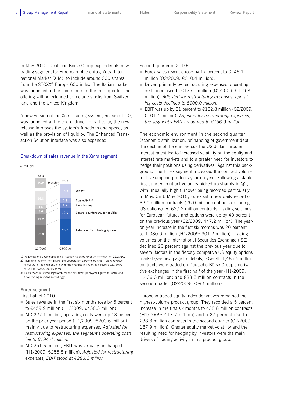In May 2010, Deutsche Börse Group expanded its new trading segment for European blue chips, Xetra International Market (XIM), to include around 200 shares from the STOXX® Europe 600 index. The Italian market was launched at the same time. In the third quarter, the offering will be extended to include stocks from Switzerland and the United Kingdom.

A new version of the Xetra trading system, Release 11.0, was launched at the end of June. In particular, the new release improves the system's functions and speed, as well as the provision of liquidity. The Enhanced Transaction Solution interface was also expanded.

#### Breakdown of sales revenue in the Xetra segment





1) Following the deconsolidation of Scoach no sales revenue is shown for Q2/2010. 2) Including income from listing and cooperation agreements and IT sales revenue allocated to the segment following the changes in reporting structure (Q2/2009: €10.2 m, Q2/2010: €9.9 m)

3) Sales revenue stated separately for the first time, prior-year figures for Xetra and floor trading restated accordingly

#### **Eurex segment**

First half of 2010:

- $\blacksquare$  Sales revenue in the first six months rose by 5 percent to €459.9 million (H1/2009: €438.3 million).
- At  $€227.1$  million, operating costs were up 13 percent on the prior-year period (H1/2009: €200.6 million), mainly due to restructuring expenses. *Adjusted for restructuring expenses, the segment's operating costs fell to €194.4 million.*
- At  $£251.6$  million, EBIT was virtually unchanged (H1/2009: €255.8 million). *Adjusted for restructuring expenses, EBIT stood at €283.3 million.*

Second quarter of 2010:

- Eurex sales revenue rose by 17 percent to  $£246.1$ million (Q2/2009: €210.4 million).
- Driven primarily by restructuring expenses, operating costs increased to €125.1 million (Q2/2009: €109.3 million). *Adjusted for restructuring expenses, operating costs declined to €100.0 million.*
- EBIT was up by 31 percent to  $€132.8$  million (Q2/2009: €101.4 million). *Adjusted for restructuring expenses, the segment's EBIT amounted to €156.9 million.*

The economic environment in the second quarter (economic stabilization, refinancing of government debt, the decline of the euro versus the US dollar, turbulent interest rates) led to increased volatility on the equity and interest rate markets and to a greater need for investors to hedge their positions using derivatives. Against this background, the Eurex segment increased the contract volume for its European products year-on-year. Following a stable first quarter, contract volumes picked up sharply in Q2, with unusually high turnover being recorded particularly in May. On 6 May 2010, Eurex set a new daily record of 32.0 million contracts (25.0 million contracts excluding US options). At 627.2 million contracts, trading volumes for European futures and options were up by 40 percent on the previous year (Q2/2009: 447.2 million). The yearon-year increase in the first six months was 20 percent to 1,080.0 million (H1/2009: 901.2 million). Trading volumes on the International Securities Exchange (ISE) declined 20 percent against the previous year due to several factors in the fiercely competive US equity options market (see next page for details). Overall, 1,485.5 million contracts were traded on Deutsche Börse Group's derivative exchanges in the first half of the year (H1/2009: 1,406.0 million) and 833.5 million contracts in the second quarter (Q2/2009: 709.5 million).

European traded equity index derivatives remained the highest-volume product group. They recorded a 5 percent increase in the first six months to 438.8 million contracts (H1/2009: 417.7 million) and a 27 percent rise to 238.8 million contracts in the second quarter (Q2/2009: 187.9 million). Greater equity market volatility and the resulting need for hedging by investors were the main drivers of trading activity in this product group.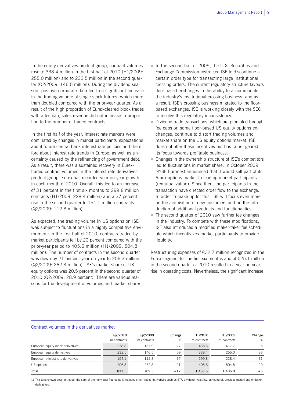In the equity derivatives product group, contract volumes rose to 338.4 million in the first half of 2010 (H1/2009: 255.0 million) and to 232.5 million in the second quarter (Q2/2009: 146.5 million). During the dividend season, positive corporate data led to a significant increase in the trading volume of single-stock futures, which more than doubled compared with the prior-year quarter. As a result of the high proportion of Eurex-cleared block trades with a fee cap, sales revenue did not increase in proportion to the number of traded contracts.

In the first half of the year, interest rate markets were dominated by changes in market participants' expectations about future central bank interest rate policies and therefore about interest rate trends in Europe, as well as uncertainty caused by the refinancing of government debt. As a result, there was a sustained recovery in Eurextraded contract volumes in the interest rate derivatives product group: Eurex has recorded year-on-year growth in each month of 2010. Overall, this led to an increase of 31 percent in the first six months to 299.8 million contracts (H1/2009: 228.4 million) and a 37 percent rise in the second quarter to 154.1 million contracts (Q2/2009: 112.8 million).

As expected, the trading volume in US options on ISE was subject to fluctuations in a highly competitive environment: in the first half of 2010, contracts traded by market participants fell by 20 percent compared with the prior-year period to 405.6 million (H1/2009: 504.8 million). The number of contracts in the second quarter was down by 21 percent year-on-year to 206.3 million (Q2/2009: 262.3 million). ISE's market share of US equity options was 20.5 percent in the second quarter of 2010 (Q2/2009: 28.9 percent). There are various reasons for the development of volumes and market share:

- In the second half of 2009, the U.S. Securities and Exchange Commission instructed ISE to discontinue a certain order type for transacting large institutional crossing orders. The current regulatory structure favours floor-based exchanges in the ability to accommodate the industry's institutional crossing business, and as a result, ISE's crossing business migrated to the floorbased exchanges. ISE is working closely with the SEC to resolve this regulatory inconsistency.
- Dividend trade transactions, which are promoted through fee caps on some floor-based US equity options exchanges, continue to distort trading volumes and market share on the US equity options market. ISE does not offer these incentives but has rather geared its focus towards profitable business.
- Changes in the ownership structure of ISE's competitors led to fluctuations in market share. In October 2009, NYSE Euronext announced that it would sell part of its Amex options market to leading market participants (remutualization). Since then, the participants in the transaction have directed order flow to the exchange. In order to make up for this, ISE will focus even more on the acquisition of new customers and on the introduction of additional products and functionalities.
- The second quarter of 2010 saw further fee changes in the industry. To compete with these modifications, ISE also introduced a modified maker-taker fee schedule which incentivizes market participants to provide liquidity.

Restructuring expenses of €32.7 million recognized in the Eurex segment for the first six months and of  $E25.1$  million in the second quarter of 2010 resulted in a year-on-year rise in operating costs. Nevertheless, the significant increase

#### Contract volumes in the derivatives market

|                                    | Q2/2010<br>m contracts | Q2/2009<br>m contracts | Change<br>% | H1/2010<br>m contracts | H1/2009<br>m contracts | Change<br>% |
|------------------------------------|------------------------|------------------------|-------------|------------------------|------------------------|-------------|
| European equity index derivatives  | 238.8                  | 187.9                  | 27          | 438.8                  | 417.7                  | 5.          |
| European equity derivatives        | 232.5                  | 146.5                  | 59          | 338.4                  | 255.0                  | 33          |
| European interest rate derivatives | 154.1                  | 112.8                  | 37          | 299.8                  | 228.4                  | 31          |
| US options                         | 206.3                  | 262.3                  | $-21$       | 405.6                  | 504.8                  | $-20$       |
| Total                              | 833.5                  | 709.5                  | $+17$       | 1,485.5                | 1,406.0                | $+6$        |

1) The total shown does not equal the sum of the individual figures as it includes other traded derivatives such as ETF, dividend, volatility, agricultural, precious metals and emission derivatives.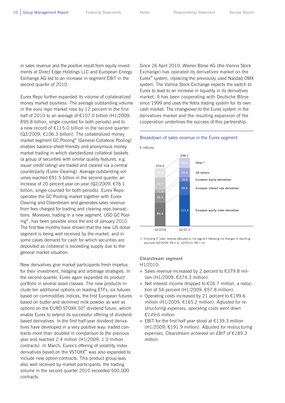in sales revenue and the positive result from equity investments at Direct Edge Holdings LLC and European Energy Exchange AG led to an increase in segment EBIT in the second quarter of 2010.

Eurex Repo further expanded its volume of collateralized money market business. The average outstanding volume in the euro repo market rose by 12 percent in the first half of 2010 to an average of €107.0 billion (H1/2009: €95.8 billion, single-counted for both periods) and to a new record of €115.0 billion in the second quarter (Q2/2009: €106.3 billion). The collateralized money market segment GC Pooling® (General Collateral Pooling) enables balance-sheet friendly and anonymous money market trading in which standardized collateral baskets (a group of securities with similar quality features, e.g. issuer credit rating) are traded and cleared via a central counterparty (Eurex Clearing). Average outstanding volumes reached €91.5 billion in the second quarter, an increase of 20 percent year-on-year (Q2/2009: €76.1 billion, single-counted for both periods). Eurex Repo operates the GC Pooling market together with Eurex Clearing and Clearstream and generates sales revenue from fees charged for trading and clearing repo transactions. Moreover, trading in a new segment, USD GC Pooling®, has been possible since the end of January 2010. The first few months have shown that the new US dollar segment is being well received by the market, and in some cases demand for cash for which securities are deposited as collateral is exceeding supply due to the general market situation.

New derivatives give market participants fresh impetus for their investment, hedging and arbitrage strategies. In the second quarter, Eurex again expanded its product portfolio in several asset classes. The new products include ten additional options on leading ETFs, six futures based on commodities indices, the first European futures based on butter and skimmed milk powder as well as options on the EURO STOXX 50® dividend future, which enable Eurex to extend its successful offering of dividendbased derivatives. In the first half-year dividend derivatives have developed in a very positive way: traded contracts more than doubled in comparison to the previous year and reached 2.4 million (H1/2009: 1.0 million contracts). In March, Eurex's offering of volatility index derivatives based on the VSTOXX® was also expanded to include new option contracts. This product group was also well received by market participants: the trading volume in the second quarter 2010 exceeded 500,000 contracts.

Since 26 April 2010, Wiener Börse AG (the Vienna Stock Exchange) has operated its derivatives market on the Eurex® system, replacing the previously used Nasdaq OMX system. The Vienna Stock Exchange expects the switch to Eurex to lead to an increase in liquidity in its derivatives market. It has been cooperating with Deutsche Börse since 1999 and uses the Xetra trading system for its own cash market. The changeover to the Eurex system in the derivatives market and the resulting expansion of the cooperation underlines the success of this partnership.

#### Breakdown of sales revenue in the Eurex segment



1) Including IT sales revenue allocated to the segment following the changes in reporting structure (Q2/2009: €9.4 m, Q2/2010: €8.7 m)

#### **Clearstream segment**

H1/2010:

- Sales revenue increased by 2 percent to  $€379.8$  million (H1/2009: €374.3 million).
- Net interest income dropped to  $E26.7$  million, a reduction of 54 percent (H1/2009: €57.8 million).
- Operating costs increased by 21 percent to  $€199.6$ million (H1/2009: €165.2 million). *Adjusted for restructuring expenses, operating costs went down €149.6 million.*
- EBIT for the first half year stood at  $€139.3$  million (H1/2009: €191.9 million). *Adjusted for restructuring expenses, Clearstream achieved an EBIT of €189.3 million.*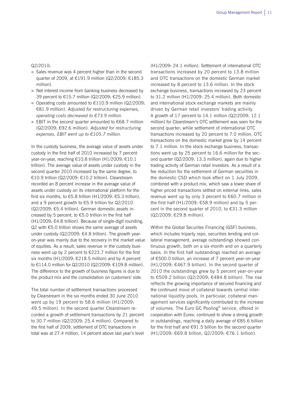#### Q2/2010:

- $\blacksquare$  Sales revenue was 4 percent higher than in the second quarter of 2009, at €191.9 million (Q2/2009: €185.3 million).
- Net interest income from banking business decreased by 39 percent to €15.7 million (Q2/2009: €25.9 million).
- Operating costs amounted to  $€110.9$  million (Q2/2009: €81.9 million). *Adjusted for restructuring expenses, operating costs decreased to €73.9 million.*
- EBIT in the second quarter amounted to  $€68.7$  million (Q2/2009: €92.6 million). *Adjusted for restructuring expenses, EBIT went up to €105.7 million.*

In the custody business, the average value of assets under custody in the first half of 2010 increased by 7 percent year-on-year, reaching €10.8 trillion (H1/2009: €10.1 trillion). The average value of assets under custody in the second quarter 2010 increased by the same degree, to €10.9 trillion (Q2/2009: €10.2 trillion). Clearstream recorded an 8 percent increase in the average value of assets under custody on its international platform for the first six months, to €5.8 trillion (H1/2009: €5.3 trillion), and a 9 percent growth to €5.9 trillion for Q2/2010 (Q2/2009: €5.4 trillion). German domestic assets increased by 5 percent, to €5.0 trillion in the first half (H1/2009: €4.8 trillion). Because of single-digit rounding, Q2 with €5.0 trillion shows the same average of assets under custody (Q2/2009: €4.8 trillion). The growth yearon-year was mainly due to the recovery in the market value of equities. As a result, sales revenue in the custody business went up by 2 percent to €223.7 million for the first six months (H1/2009:  $£218.5$  million) and by 4 percent to €114.0 million for Q2/2010 (Q2/2009: €109.8 million). The difference to the growth of business figures is due to the product mix and the consolidation on customers' side.

The total number of settlement transactions processed by Clearstream in the six months ended 30 June 2010 went up by 19 percent to 58.6 million (H1/2009: 49.5 million). In the second quarter Clearstream recorded a growth of settlement transactions by 21 percent to 30.7 million (Q2/2009: 25.4 million). Compared to the first half of 2009, settlement of OTC transactions in total was at 27.4 million, 14 percent above last year's level (H1/2009: 24.1 million). Settlement of international OTC transactions increased by 20 percent to 13.8 million and OTC transactions on the domestic German market increased by 8 percent to 13.6 million. In the stock exchange business, transactions increased by 23 percent to 31.2 million (H1/2009: 25.4 million). Both domestic and international stock exchange markets are mainly driven by German retail investors' trading activity. A growth of 17 percent to 14.1 million (Q2/2009: 12.1 million) for Clearstream's OTC settlement was seen for the second quarter: while settlement of international OTC transactions increased by 20 percent to 7.0 million, OTC transactions on the domestic market grew by 14 percent to 7.1 million. In the stock exchange business, transactions went up by 25 percent to 16.6 million for the second quarter (Q2/2009: 13.3 million), again due to higher trading activity of German retail investors. As a result of a fee reduction for the settlement of German securities in the domestic CSD which took effect on 1 July 2009, combined with a product mix, which saw a lower share of higher priced transactions settled on external links, sales revenue went up by only 3 percent to €60.7 million in the first half (H1/2009:  $€58.9$  million) and by 5 percent in the second quarter of 2010, to  $\epsilon$ 31.3 million (Q2/2009: €29.8 million).

Within the Global Securites Financing (GSF) business, which includes triparty repo, securities lending and collateral management, average outstandings showed continuous growth, both on a six-month and on a quarterly basis. In the first half outstandings reached an average of €500.0 billion, an increase of 7 percent year-on-year (H1/2009: €467.9 billion). In the second quarter of 2010 the outstandings grew by 5 percent year-on-year to €509.2 billion (Q2/2009: €484.8 billion). The rise reflects the growing importance of secured financing and the continued move of collateral towards central international liquidity pools. In particular, collateral management services significantly contributed to the increase of volumes. The Euro GC Pooling® service, offered in cooperation with Eurex, continued to show a strong growth in outstandings, reaching a daily average of €85.6 billion for the first half and  $€91.5$  billion for the second quarter (H1/2009: €69.8 billion, Q2/2009: €76.1 billion).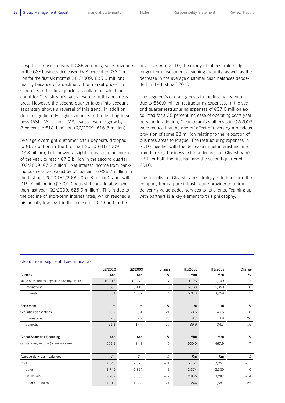Despite the rise in overall GSF volumes, sales revenue in the GSF business decreased by 8 percent to  $\epsilon$ 33.1 million for the first six months (H1/2009: €35.9 million), mainly because of a decline of the market prices for securities in the first quarter as collateral, which account for Clearstream's sales revenue in this business area. However, the second quarter taken into account separately shows a reversal of this trend. In addition, due to significantly higher volumes in the lending business (ASL, ASL+ and LMS), sales revenue grew by 8 percent to €18.1 million (Q2/2009: €16.8 million).

Average overnight customer cash deposits dropped to €6.5 billion in the first half 2010 (H1/2009: €7.3 billion), but showed a slight increase in the course of the year, to reach  $\epsilon$ 7.0 billion in the second quarter (Q2/2009: €7.9 billion). Net interest income from banking business decreased by 54 percent to €26.7 million in the first half 2010 (H1/2009: €57.8 million), and, with €15.7 million in Q2/2010, was still considerably lower than last year ( $Q2/2009$ :  $E25.9$  million). This is due to the decline of short-term interest rates, which reached a historically low level in the course of 2009 and in the

first quarter of 2010, the expiry of interest rate hedges, longer-term investments reaching maturity, as well as the decrease in the average customer cash balances deposited in the first half 2010.

The segment's operating costs in the first half went up due to €50.0 million restructuring expenses. In the second quarter restructuring expenses of €37.0 million accounted for a 35 percent increase of operating costs yearon-year. In addition, Clearstream's staff costs in Q2/2009 were reduced by the one-off effect of reversing a previous provision of some €8 million relating to the relocation of business areas to Prague. The restructuring expenses in 2010 together with the decrease in net interest income from banking business led to a decrease of Clearstream's EBIT for both the first half and the second quarter of 2010.

The objective of Clearstream's strategy is to transform the company from a pure infrastructure provider to a firm delivering value-added services to its clients. Teaming up with partners is a key element to this philosophy.

#### Clearstream segment: Key indicators

|                                               | Q2/2010 | Q2/2009 | Change         | H1/2010      | H1/2009 | Change   |
|-----------------------------------------------|---------|---------|----------------|--------------|---------|----------|
| Custody                                       | €bn     | €bn     | %              | €bn          | €bn     | %        |
| Value of securities deposited (average value) | 10,913  | 10,242  | $\overline{7}$ | 10,796       | 10,109  | 7        |
| international                                 | 5,882   | 5,410   | 9              | 5,783        | 5,350   | 8        |
| domestic                                      | 5,031   | 4,832   | 4              | 5,013        | 4,759   | 5        |
| Settlement                                    | m       | m       | %              | m            | m       | $\%$     |
| Securities transactions                       | 30.7    | 25.4    | 21             | 58.6         | 49.5    | 18       |
| international                                 | 9.6     | 7.7     | 25             | 18.7         | 14.8    | 26       |
| domestic                                      | 21.1    | 17.7    | 19             | 39.9         | 34.7    | 15       |
| <b>Global Securities Financing</b>            | €bn     | €bn     | %              | €bn          | €bn     | %        |
| Outstanding volume (average value)            | 509.2   | 484.8   | 5              | 500.0        | 467.9   | 7        |
| Average daily cash balances                   | €m      | €m      | %              | $\epsilon$ m | €m      | %        |
| Total                                         | 7,043   | 7,878   | $-11$          | 6,454        | 7,254   | $-11$    |
| euros                                         | 2,749   | 2,827   | $-3$           | 2,374        | 2,380   | $\Omega$ |
| US dollars                                    | 2,982   | 3,383   | $-12$          | 2,836        | 3,287   | $-14$    |
| other currencies                              | 1,312   | 1,668   | $-21$          | 1,244        | 1,587   | $-22$    |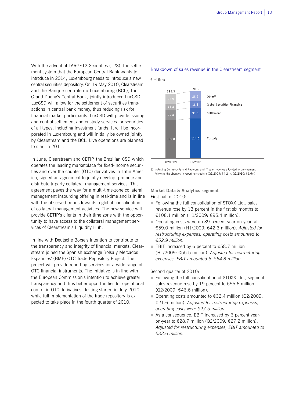With the advent of TARGET2-Securities (T2S), the settlement system that the European Central Bank wants to introduce in 2014, Luxembourg needs to introduce a new central securities depository. On 19 May 2010, Clearstream and the Banque centrale du Luxembourg (BCL), the Grand Duchy's Central Bank, jointly introduced LuxCSD. LuxCSD will allow for the settlement of securities transactions in central bank money, thus reducing risk for financial market participants. LuxCSD will provide issuing and central settlement and custody services for securities of all types, including investment funds. It will be incorporated in Luxembourg and will initially be owned jointly by Clearstream and the BCL. Live operations are planned to start in 2011.

In June, Clearstream and CETIP, the Brazilian CSD which operates the leading marketplace for fixed-income securities and over-the-counter (OTC) derivatives in Latin America, signed an agreement to jointly develop, promote and distribute triparty collateral management services. This agreement paves the way for a multi-time-zone collateral management insourcing offering in real-time and is in line with the observed trends towards a global consolidation of collateral management activities. The new service will provide CETIP's clients in their time zone with the opportunity to have access to the collateral management services of Clearstream's Liquidity Hub.

In line with Deutsche Börse's intention to contribute to the transparency and integrity of financial markets, Clearstream joined the Spanish exchange Bolsa y Mercados Españoles' (BME) OTC Trade Repository Project. The project will provide reporting services for a wide range of OTC financial instruments. The initiative is in line with the European Commission's intention to achieve greater transparency and thus better opportunities for operational control in OTC derivatives. Testing started in July 2010 while full implementation of the trade repository is expected to take place in the fourth quarter of 2010.

#### Breakdown of sales revenue in the Clearstream segment

€ millions

1919 185.3  $Other<sup>1</sup>$ **Global Securities Financing** 16.8  $31.3$ Settlement 29.8 114.0  $109.8$ Custody Q2/2009 Q2/2010

1) Including Connectivity and Reporting and IT sales revenue allocated to the segment following the changes in reporting structure (Q2/2009: €4.2 m, Q2/2010: €5.6m)

### **Market Data & Analytics segment**  First half of 2010:

- Following the full consolidation of STOXX Ltd., sales revenue rose by 13 percent in the first six months to €108.1 million (H1/2009: €95.4 million).
- Operating costs were up 39 percent year-on-year, at €59.0 million (H1/2009: €42.3 million). *Adjusted for restructuring expenses, operating costs amounted to €52.9 million.*
- EBIT increased by 6 percent to  $€58.7$  million (H1/2009: €55.5 million). *Adjusted for restructuring expenses, EBIT amounted to €64.8 million.*

#### Second quarter of 2010:

- Following the full consolidation of STOXX Ltd., segment sales revenue rose by 19 percent to €55.6 million (Q2/2009: €46.6 million).
- Operating costs amounted to  $€32.4$  million (Q2/2009: €21.6 million). *Adjusted for restructuring expenses, operating costs were €27.5 million.*
- As a consequence, EBIT increased by 6 percent yearon-year to €28.7 million (Q2/2009: €27.2 million). *Adjusted for restructuring expenses, EBIT amounted to €33.6 million.*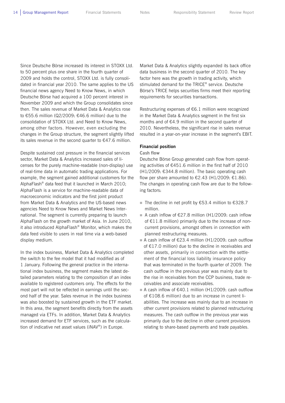Since Deutsche Börse increased its interest in STOXX Ltd. to 50 percent plus one share in the fourth quarter of 2009 and holds the control, STOXX Ltd. is fully consolidated in financial year 2010. The same applies to the US financial news agency Need to Know News, in which Deutsche Börse had acquired a 100 percent interest in November 2009 and which the Group consolidates since then. The sales revenue of Market Data & Analytics rose to €55.6 million (Q2/2009: €46.6 million) due to the consolidation of STOXX Ltd. and Need to Know News, among other factors. However, even excluding the changes in the Group structure, the segment slightly lifted its sales revenue in the second quarter to €47.6 million.

Despite sustained cost pressure in the financial services sector, Market Data & Analytics increased sales of licenses for the purely machine-readable (non-display) use of real-time data in automatic trading applications. For example, the segment gained additional customers for the AlphaFlash® data feed that it launched in March 2010; AlphaFlash is a service for machine-readable data of macroeconomic indicators and the first joint product from Market Data & Analytics and the US-based news agencies Need to Know News and Market News International. The segment is currently preparing to launch AlphaFlash on the growth market of Asia. In June 2010, it also introduced AlphaFlash® Monitor, which makes the data feed visible to users in real time via a web-based display medium.

In the index business, Market Data & Analytics completed the switch to the fee model that it had modified as of 1 January. Following the general practice in the international index business, the segment makes the latest detailed parameters relating to the composition of an index available to registered customers only. The effects for the most part will not be reflected in earnings until the second half of the year. Sales revenue in the index business was also boosted by sustained growth in the ETF market. In this area, the segment benefits directly from the assets managed via ETFs. In addition, Market Data & Analytics increased demand for ETF services, such as the calculation of indicative net asset values (iNAV®) in Europe.

Market Data & Analytics slightly expanded its back office data business in the second quarter of 2010. The key factor here was the growth in trading activity, which stimulated demand for the TRICE® service. Deutsche Börse's TRICE helps securities firms meet their reporting requirements for securities transactions.

Restructuring expenses of €6.1 million were recognized in the Market Data & Analytics segment in the first six months and of €4.9 million in the second quarter of 2010. Nevertheless, the significant rise in sales revenue resulted in a year-on-year increase in the segment's EBIT.

#### **Financial position**

#### **Cash flow**

Deutsche Börse Group generated cash flow from operating activities of €451.6 million in the first half of 2010 (H1/2009: €344.8 million). The basic operating cash flow per share amounted to  $\epsilon$ 2.43 (H1/2009:  $\epsilon$ 1.86). The changes in operating cash flow are due to the following factors:

- The decline in net profit by  $€53.4$  million to  $€328.7$ million.
- A cash inflow of  $£27.8$  million (H1/2009: cash inflow of  $E11.8$  million) primarily due to the increase of noncurrent provisions, amongst others in connection with planned restructuring measures.
- A cash inflow of  $£23.4$  million (H1/2009: cash outflow of €17.0 million) due to the decline in receivables and other assets, primarily in connection with the settlement of the financial loss liability insurance policy that was terminated in the fourth quarter of 2009. The cash outflow in the previous year was mainly due to the rise in receivables from the CCP business, trade receivables and associate receivables.
- A cash inflow of  $€40.1$  million (H1/2009: cash outflow of €108.6 million) due to an increase in current liabilities. The increase was mainly due to an increase in other current provisions related to planned restructuring measures. The cash outflow in the previous year was primarily due to the decline in other current provisions relating to share-based payments and trade payables.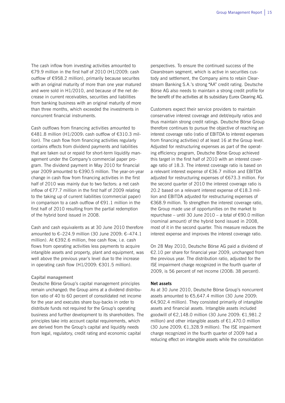The cash inflow from investing activities amounted to €79.9 million in the first half of 2010 (H1/2009: cash outflow of €958.2 million), primarily because securites with an original maturity of more than one year matured and were sold in H1/2010, and because of the net decrease in current receivables, securities and liabilities from banking business with an original maturity of more than three months, which exceeded the investments in noncurrent financial instruments.

Cash outflows from financing activities amounted to €481.8 million (H1/2009: cash outflow of €310.3 million). The cash flow from financing activities regularly contains effects from dividend payments and liabilities that are taken out or repaid for short-term liquidity management under the Company's commercial paper program. The dividend payment in May 2010 for financial year 2009 amounted to €390.5 million. The year-on-year change in cash flow from financing activities in the first half of 2010 was mainly due to two factors: a net cash inflow of €77.7 million in the first half of 2009 relating to the taking up of current liabilities (commercial paper) in comparison to a cash outflow of €91.1 million in the first half of 2010 resulting from the partial redemption of the hybrid bond issued in 2008.

Cash and cash equivalents as at 30 June 2010 therefore amounted to  $€-224.9$  million (30 June 2009:  $€-474.1$ million). At €392.6 million, free cash flow, i.e. cash flows from operating activities less payments to acquire intangible assets and property, plant and equipment, was well above the previous year's level due to the increase in operating cash flow (H1/2009: €301.5 million).

#### **Capital management**

Deutsche Börse Group's capital management principles remain unchanged: the Group aims at a dividend distribution ratio of 40 to 60 percent of consolidated net income for the year and executes share buy-backs in order to distribute funds not required for the Group's operating business and further development to its shareholders. The principles take into account capital requirements, which are derived from the Group's capital and liquidity needs from legal, regulatory, credit rating and economic capital

perspectives. To ensure the continued success of the Clearstream segment, which is active in securities custody and settlement, the Company aims to retain Clearstream Banking S.A.'s strong "AA" credit rating. Deutsche Börse AG also needs to maintain a strong credit profile for the benefit of the activities at its subsidiary Eurex Clearing AG.

Customers expect their service providers to maintain conservative interest coverage and debt/equity ratios and thus maintain strong credit ratings. Deutsche Börse Group therefore continues to pursue the objective of reaching an interest coverage ratio (ratio of EBITDA to interest expenses from financing activities) of at least 16 at the Group level. Adjusted for restructuring expenses as part of the operating efficiency program, Deutsche Börse Group achieved this target in the first half of 2010 with an interest coverage ratio of 18.3. The interest coverage ratio is based on a relevant interest expense of €36.7 million and EBITDA adjusted for restructuring expenses of €673.3 million. For the second quarter of 2010 the interest coverage ratio is 20.2 based on a relevant interest expense of €18.3 million and EBITDA adjusted for restructuring expenses of €368.9 million. To strengthen the interest coverage ratio, the Group made use of opportunities on the market to repurchase – until 30 June 2010 – a total of €90.0 million (nominal amount) of the hybrid bond issued in 2008, most of it in the second quarter. This measure reduces the interest expense and improves the interest coverage ratio.

On 28 May 2010, Deutsche Börse AG paid a dividend of €2.10 per share for financial year 2009, unchanged from the previous year. The distribution ratio, adjusted for the ISE impairment charge recognized in the fourth quarter of 2009, is 56 percent of net income (2008: 38 percent).

#### **Net assets**

As at 30 June 2010, Deutsche Börse Group's noncurrent assets amounted to €5,647.4 million (30 June 2009: €4,902.4 million). They consisted primarily of intangible assets and financial assets. Intangible assets included goodwill of €2,148.0 million (30 June 2009: €1,981.2 million) and other intangible assets of  $E1,470.0$  million (30 June 2009: €1,328.9 million). The ISE impairment charge recognized in the fourth quarter of 2009 had a reducing effect on intangible assets while the consolidation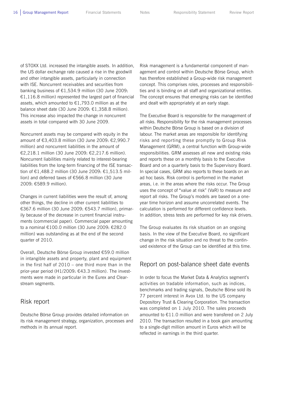of STOXX Ltd. increased the intangible assets. In addition, the US dollar exchange rate caused a rise in the goodwill and other intangible assets, particularly in connection with ISE. Noncurrent receivables and securities from banking business of €1,534.9 million (30 June 2009:  $£1,116.8$  million) represented the largest part of financial assets, which amounted to €1,793.0 million as at the balance sheet date (30 June 2009: €1,358.8 million). This increase also impacted the change in noncurrent assets in total compared with 30 June 2009.

Noncurrent assets may be compared with equity in the amount of €3,403.8 million (30 June 2009: €2,990.7 million) and noncurrent liabilities in the amount of €2,218.1 million (30 June 2009: €2,217.6 million). Noncurrent liabilities mainly related to interest-bearing liabilities from the long-term financing of the ISE transaction of €1,488.2 million (30 June 2009: €1,513.5 million) and deferred taxes of €566.8 million (30 June 2009: €589.9 million).

Changes in current liabilities were the result of, among other things, the decline in other current liabilities to €367.6 million (30 June 2009: €543.7 million), primarily because of the decrease in current financial instruments (commercial paper). Commercial paper amounting to a nominal €100.0 million (30 June 2009: €282.0 million) was outstanding as at the end of the second quarter of 2010.

Overall, Deutsche Börse Group invested €59.0 million in intangible assets and property, plant and equipment in the first half of 2010 – one third more than in the prior-year period (H1/2009: €43.3 million). The investments were made in particular in the Eurex and Clearstream segments.

### Risk report

Deutsche Börse Group provides detailed information on its risk management strategy, organization, processes and methods in its annual report.

Risk management is a fundamental component of management and control within Deutsche Börse Group, which has therefore established a Group-wide risk management concept. This comprises roles, processes and responsibilities and is binding on all staff and organizational entities. The concept ensures that emerging risks can be identified and dealt with appropriately at an early stage.

The Executive Board is responsible for the management of all risks. Responsibility for the risk management processes within Deutsche Börse Group is based on a division of labour. The market areas are responsible for identifying risks and reporting these promptly to Group Risk Management (GRM), a central function with Group-wide responsibilities. GRM assesses all new and existing risks and reports these on a monthly basis to the Executive Board and on a quarterly basis to the Supervisory Board. In special cases, GRM also reports to these boards on an ad hoc basis. Risk control is performed in the market areas, i.e. in the areas where the risks occur. The Group uses the concept of "value at risk" (VaR) to measure and report all risks. The Group's models are based on a oneyear time horizon and assume uncorrelated events. The calculation is performed for different confidence levels. In addition, stress tests are performed for key risk drivers.

The Group evaluates its risk situation on an ongoing basis. In the view of the Executive Board, no significant change in the risk situation and no threat to the continued existence of the Group can be identified at this time.

### Report on post-balance sheet date events

In order to focus the Market Data & Analytics segment's activities on tradable information, such as indices, benchmarks and trading signals, Deutsche Börse sold its 77 percent interest in Avox Ltd. to the US company Depository Trust & Clearing Corporation. The transaction was completed on 1 July 2010. The sales proceeds amounted to €11.0 million and were transfered on 2 July 2010. The transaction resulted in a book gain amounting to a single-digit million amount in Euros which will be reflected in earnings in the third quarter.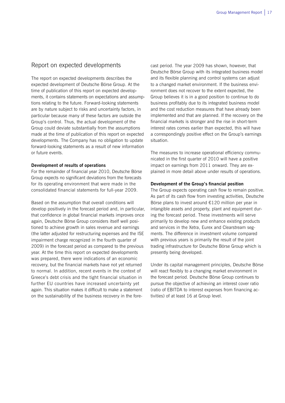## Report on expected developments

The report on expected developments describes the expected development of Deutsche Börse Group. At the time of publication of this report on expected developments, it contains statements on expectations and assumptions relating to the future. Forward-looking statements are by nature subject to risks and uncertainty factors, in particular because many of these factors are outside the Group's control. Thus, the actual development of the Group could deviate substantially from the assumptions made at the time of publication of this report on expected developments. The Company has no obligation to update forward-looking statements as a result of new information or future events.

#### **Development of results of operations**

For the remainder of financial year 2010, Deutsche Börse Group expects no significant deviations from the forecasts for its operating environment that were made in the consolidated financial statements for full-year 2009.

Based on the assumption that overall conditions will develop positively in the forecast period and, in particular, that confidence in global financial markets improves once again, Deutsche Börse Group considers itself well positioned to achieve growth in sales revenue and earnings (the latter adjusted for restructuring expenses and the ISE impairment charge recognized in the fourth quarter of 2009) in the forecast period as compared to the previous year. At the time this report on expected developments was prepared, there were indications of an economic recovery, but the financial markets have not yet returned to normal. In addition, recent events in the context of Greece's debt crisis and the tight financial situation in further EU countries have increased uncertainty yet again. This situation makes it difficult to make a statement on the sustainability of the business recovery in the forecast period. The year 2009 has shown, however, that Deutsche Börse Group with its integrated business model and its flexible planning and control systems can adjust to a changed market environment. If the business environment does not recover to the extent expected, the Group believes it is in a good position to continue to do business profitably due to its integrated business model and the cost reduction measures that have already been implemented and that are planned. If the recovery on the financial markets is stronger and the rise in short-term interest rates comes earlier than expected, this will have a correspondingly positive effect on the Group's earnings situation.

The measures to increase operational efficiency communicated in the first quarter of 2010 will have a positive impact on earnings from 2011 onward. They are explained in more detail above under results of operations.

#### **Development of the Group's financial position**

The Group expects operating cash flow to remain positive. As part of its cash flow from investing activities, Deutsche Börse plans to invest around €120 million per year in intangible assets and property, plant and equipment during the forecast period. These investments will serve primarily to develop new and enhance existing products and services in the Xetra, Eurex and Clearstream segments. The difference in investment volume compared with previous years is primarily the result of the joint trading infrastructure for Deutsche Börse Group which is presently being developed.

Under its capital management principles, Deutsche Börse will react flexibly to a changing market environment in the forecast period. Deutsche Börse Group continues to pursue the objective of achieving an interest cover ratio (ratio of EBITDA to interest expenses from financing activities) of at least 16 at Group level.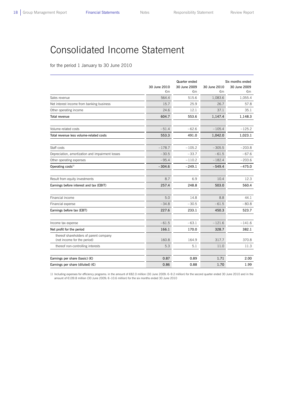L

## Consolidated Income Statement

for the period 1 January to 30 June 2010

|                                                                       |              | Quarter ended | Six months ended |              |  |
|-----------------------------------------------------------------------|--------------|---------------|------------------|--------------|--|
|                                                                       | 30 June 2010 | 30 June 2009  | 30 June 2010     | 30 June 2009 |  |
|                                                                       | €m           | €m            | €m               | €m           |  |
| Sales revenue                                                         | 564.4        | 515.6         | 1,083.6          | 1,055.4      |  |
| Net interest income from banking business                             | 15.7         | 25.9          | 26.7             | 57.8         |  |
| Other operating income                                                | 24.6         | 12.1          | 37.1             | 35.1         |  |
| Total revenue                                                         | 604.7        | 553.6         | 1,147.4          | 1,148.3      |  |
| Volume-related costs                                                  | $-51.4$      | $-62.6$       | $-105.4$         | $-125.2$     |  |
| Total revenue less volume-related costs                               | 553.3        | 491.0         | 1,042.0          | 1,023.1      |  |
| Staff costs                                                           | $-178.7$     | $-105.2$      | $-305.5$         | $-203.8$     |  |
| Depreciation, amortization and impairment losses                      | $-30.5$      | $-33.7$       | $-61.5$          | $-67.6$      |  |
| Other operating expenses                                              | $-95.4$      | $-110.2$      | $-182.4$         | $-203.6$     |  |
|                                                                       |              |               |                  |              |  |
| Operating costs <sup>1)</sup>                                         | $-304.6$     | $-249.1$      | $-549.4$         | $-475.0$     |  |
| Result from equity investments                                        | 8.7          | 6.9           | 10.4             | 12.3         |  |
| Earnings before interest and tax (EBIT)                               | 257.4        | 248.8         | 503.0            | 560.4        |  |
| Financial income                                                      | 5.0          | 14.8          | 8.8              | 44.1         |  |
| Financial expense                                                     | $-34.8$      | $-30.5$       | $-61.5$          | $-80.8$      |  |
| Earnings before tax (EBT)                                             | 227.6        | 233.1         | 450.3            | 523.7        |  |
|                                                                       |              |               |                  |              |  |
| Income tax expense                                                    | $-61.5$      | $-63.1$       | $-121.6$         | $-141.6$     |  |
| Net profit for the period                                             | 166.1        | 170.0         | 328.7            | 382.1        |  |
| thereof shareholders of parent company<br>(net income for the period) | 160.8        | 164.9         | 317.7            | 370.8        |  |
| thereof non-controlling interests                                     | 5.3          | 5.1           | 11.0             | 11.3         |  |
| Earnings per share (basic) $(E)$                                      | 0.87         | 0.89          | 1.71             | 2.00         |  |
| Earnings per share (diluted) $(E)$                                    | 0.86         | 0.88          | 1.70             | 1.99         |  |
|                                                                       |              |               |                  |              |  |

1) Including expenses for efficiency programs: in the amount of €82.0 million (30 June 2009: €–9.2 million) for the second quarter ended 30 June 2010 and in the amount of €109.8 million (30 June 2009: €–10.6 million) for the six months ended 30 June 2010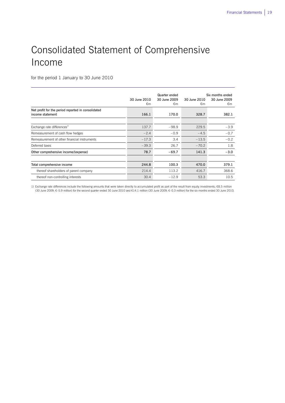# Consolidated Statement of Comprehensive Income

for the period 1 January to 30 June 2010

 $\overline{a}$ 

|                                                                        | 30 June 2010<br>€m | Quarter ended<br>30 June 2009<br>€m | 30 June 2010<br>€m | Six months ended<br>30 June 2009<br>€m |
|------------------------------------------------------------------------|--------------------|-------------------------------------|--------------------|----------------------------------------|
| Net profit for the period reported in consolidated<br>income statement | 166.1              | 170.0                               | 328.7              | 382.1                                  |
| Exchange rate differences <sup>1)</sup>                                | 137.7              | $-98.9$                             | 229.5              | $-3.9$                                 |
| Remeasurement of cash flow hedges                                      | $-2.4$             | $-0.9$                              | $-4.5$             | $-0.7$                                 |
| Remeasurement of other financial instruments                           | $-17.3$            | 3.4                                 | $-13.5$            | $-0.2$                                 |
| Deferred taxes                                                         | $-39.3$            | 26.7                                | $-70.2$            | 1.8                                    |
| Other comprehensive income/(expense)                                   | 78.7               | $-69.7$                             | 141.3              | $-3.0$                                 |
|                                                                        |                    |                                     |                    |                                        |
| Total comprehensive income                                             | 244.8              | 100.3                               | 470.0              | 379.1                                  |
| thereof shareholders of parent company                                 | 214.4              | 113.2                               | 416.7              | 368.6                                  |
| thereof non-controlling interests                                      | 30.4               | $-12.9$                             | 53.3               | 10.5                                   |

1) Exchange rate differences include the following amounts that were taken directly to accumulated profit as part of the result from equity investments: €8.5 million (30 June 2009: €–5.9 million) for the second quarter ended 30 June 2010 and €14.1 million (30 June 2009: €–0.3 million) for the six months ended 30 June 2010.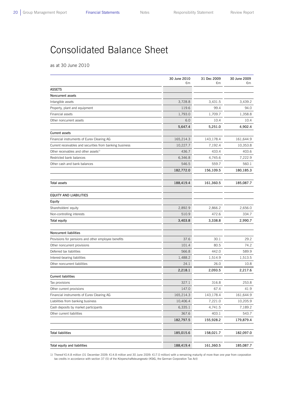$\overline{a}$ 

## Consolidated Balance Sheet

as at 30 June 2010

| €m<br>€m<br><b>ASSETS</b><br>Noncurrent assets<br>Intangible assets<br>3,728.8<br>3,431.5<br>119.6<br>Property, plant and equipment<br>99.4<br>Financial assets<br>1,793.0<br>1,709.7<br>Other noncurrent assets<br>6.0<br>10.4<br>5,647.4<br>5,251.0 |  | 31 Dec 2009 | 30 June 2009    |
|-------------------------------------------------------------------------------------------------------------------------------------------------------------------------------------------------------------------------------------------------------|--|-------------|-----------------|
|                                                                                                                                                                                                                                                       |  |             | €m              |
|                                                                                                                                                                                                                                                       |  |             |                 |
|                                                                                                                                                                                                                                                       |  |             |                 |
|                                                                                                                                                                                                                                                       |  |             | 3,439.2<br>94.0 |
|                                                                                                                                                                                                                                                       |  |             |                 |
|                                                                                                                                                                                                                                                       |  |             | 1,358.8         |
|                                                                                                                                                                                                                                                       |  |             | 10.4            |
| <b>Current assets</b>                                                                                                                                                                                                                                 |  |             | 4,902.4         |
| Financial instruments of Eurex Clearing AG<br>165,214.3<br>143,178.4                                                                                                                                                                                  |  |             | 161,644.9       |
| Current receivables and securities from banking business<br>10,227.7<br>7,192.4                                                                                                                                                                       |  |             | 10,353.8        |
| Other receivables and other assets <sup>1)</sup><br>436.7<br>433.4                                                                                                                                                                                    |  |             | 403.6           |
| Restricted bank balances<br>4,745.6<br>6,346.8                                                                                                                                                                                                        |  |             | 7,222.9         |
| 546.5<br>Other cash and bank balances<br>559.7                                                                                                                                                                                                        |  |             | 560.1           |
| 156,109.5                                                                                                                                                                                                                                             |  |             | 180,185.3       |
| 182,772.0                                                                                                                                                                                                                                             |  |             |                 |
| <b>Total assets</b><br>188,419.4<br>161,360.5                                                                                                                                                                                                         |  |             | 185,087.7       |
|                                                                                                                                                                                                                                                       |  |             |                 |
| <b>EQUITY AND LIABILITIES</b>                                                                                                                                                                                                                         |  |             |                 |
| Equity                                                                                                                                                                                                                                                |  |             |                 |
| Shareholders' equity<br>2,892.9<br>2,866.2                                                                                                                                                                                                            |  |             | 2,656.0         |
| Non-controlling interests<br>510.9<br>472.6                                                                                                                                                                                                           |  |             | 334.7           |
| <b>Total equity</b><br>3,403.8<br>3,338.8                                                                                                                                                                                                             |  |             | 2,990.7         |
| <b>Noncurrent liabilities</b>                                                                                                                                                                                                                         |  |             |                 |
| 37.6<br>30.1<br>Provisions for pensions and other employee benefits                                                                                                                                                                                   |  |             | 29.2            |
| Other noncurrent provisions<br>101.4<br>80.5                                                                                                                                                                                                          |  |             | 74.2            |
| 566.8<br>Deferred tax liabilities<br>442.0                                                                                                                                                                                                            |  |             | 589.9           |
| 1,488.2<br>Interest-bearing liabilities<br>1,514.9                                                                                                                                                                                                    |  |             | 1,513.5         |
| Other noncurrent liabilities<br>24.1<br>26.0                                                                                                                                                                                                          |  |             | 10.8            |
| 2,218.1<br>2,093.5                                                                                                                                                                                                                                    |  |             | 2,217.6         |
| <b>Current liabilities</b>                                                                                                                                                                                                                            |  |             |                 |
| 327.1<br>Tax provisions<br>316.8                                                                                                                                                                                                                      |  |             | 253.8           |
| Other current provisions<br>147.0<br>67.4                                                                                                                                                                                                             |  |             | 41.9            |
| Financial instruments of Eurex Clearing AG<br>165,214.3<br>143,178.4                                                                                                                                                                                  |  |             | 161,644.9       |
| Liabilities from banking business<br>10,406.4<br>7,221.0                                                                                                                                                                                              |  |             | 10,205.9        |
| Cash deposits by market participants<br>6,335.1<br>4,741.5                                                                                                                                                                                            |  |             | 7,189.2         |
| 367.6<br>Other current liabilities<br>403.1                                                                                                                                                                                                           |  |             | 543.7           |
| 182,797.5<br>155,928.2                                                                                                                                                                                                                                |  |             | 179,879.4       |
|                                                                                                                                                                                                                                                       |  |             |                 |
| <b>Total liabilities</b><br>185,015.6<br>158,021.7                                                                                                                                                                                                    |  |             | 182,097.0       |
| Total equity and liabilities<br>188,419.4<br>161,360.5                                                                                                                                                                                                |  |             | 185,087.7       |

1) Thereof €14.8 million (31 December 2009: €14.8 million and 30 June 2009: €17.0 million) with a remaining maturity of more than one year from corporation tax credits in accordance with section 37 (5) of the Körperschaftsteuergesetz (KStG, the German Corporation Tax Act)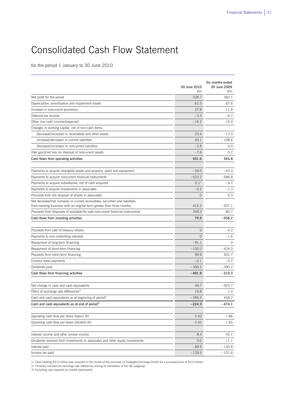# Consolidated Cash Flow Statement

for the period 1 January to 30 June 2010

|                                                                                | 30 June 2010<br>€m | Six months ended<br>30 June 2009<br>€m |
|--------------------------------------------------------------------------------|--------------------|----------------------------------------|
| Net profit for the period                                                      | 328.7              | 382.1                                  |
| Depreciation, amortization and impairment losses                               | 61.5               | 67.6                                   |
| Increase in noncurrent provisions                                              | 27.8               | 11.8                                   |
| Deferred tax income                                                            | $-3.3$             | $-6.7$                                 |
| Other non-cash income/(expense)                                                | $-16.2$            | 15.0                                   |
| Changes in working capital, net of non-cash items:                             |                    |                                        |
| Decrease/(increase) in receivables and other assets                            | 23.4               | $-17.0$                                |
| Increase/(decrease) in current liabilities                                     | 40.1               | $-108.6$                               |
| Decrease/(increase) in noncurrent liabilities                                  | $-2.8$             | 0.4                                    |
| (Net gain)/net loss on disposal of noncurrent assets                           | $-7.6$             | 0.2                                    |
| Cash flows from operating activities                                           | 451.6              | 344.8                                  |
| Payments to acquire intangible assets and property, plant and equipment        | $-59.0$            | $-43.3$                                |
| Payments to acquire noncurrent financial instruments                           | $-623.2$           | $-586.8$                               |
| Payments to acquire subsidiaries, net of cash acquired                         | $0.1^{1}$          | $-6.7$                                 |
| Payments to acquire investments in associates                                  | $-2.5$             | $-1.3$                                 |
| Proceeds from the disposal of shares in associates                             | $\overline{O}$     | 6.3                                    |
| Net decrease/(net increase) in current receivables, securities and liabilities |                    |                                        |
| from banking business with an original term greater than three months          | 415.2              | $-407.1$                               |
| Proceeds from disposals of available-for-sale noncurrent financial instruments | 349.3              | 80.7                                   |
| Cash flows from investing activities                                           | 79.9               | $-958.2$                               |
| Proceeds from sale of treasury shares                                          | $\circ$            | 4.0                                    |
| Payments to non-controlling interests                                          | $\mathbf 0$        | $-1.6$                                 |
| Repayment of long-term financing                                               | $-91.1$            | $\Omega$                               |
| Repayment of short-term financing                                              | $-100.0$           | $-424.0$                               |
| Proceeds from short-term financing                                             | 99.9               | 501.7                                  |
| Finance lease payments                                                         | $-0.1$             | $-0.2$                                 |
| Dividends paid                                                                 | $-390.5$           | $-390.2$                               |
| Cash flows from financing activities                                           | $-481.8$           | $-310.3$                               |
|                                                                                |                    |                                        |
| Net change in cash and cash equivalents                                        | 49.7               | -923.7                                 |
| Effect of exchange rate differences <sup>2)</sup>                              | 10.8               | 1.4                                    |
| Cash and cash equivalents as at beginning of period <sup>3)</sup>              | $-285.4$           | 448.2                                  |
| Cash and cash equivalents as at end of period <sup>3)</sup>                    | -224.9             | -474.1                                 |
| Operating cash flow per share (basic) $(\epsilon)$                             | 2.43               | 1.86                                   |
| Operating cash flow per share (diluted) $(\epsilon)$                           | 2.42               | 1.85                                   |
|                                                                                |                    |                                        |
| Interest income and other similar income                                       | 8.4                | 43.1                                   |
| Dividends received from investments in associates and other equity investments | 5.0                | 11.1                                   |
| Interest paid                                                                  | $-89.9$            | $-130.8$                               |
| Income tax paid                                                                | $-129.5$           | $-101.6$                               |

 $\overline{a}$ 

1) Cash totalling €0.5 million was acquired in the course of the purchase of Tradegate Exchange GmbH for a purchase price of €0.4 million.

2) Primarily includes the exchange rate differences arising on translation of the ISE subgroup 3) Excluding cash deposits by market participants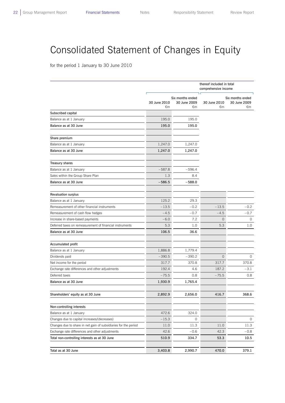$\overline{a}$ 

# Consolidated Statement of Changes in Equity

for the period 1 January to 30 June 2010

|                                                                 |                    |                                        | thereof included in total<br>comprehensive income |                                        |  |
|-----------------------------------------------------------------|--------------------|----------------------------------------|---------------------------------------------------|----------------------------------------|--|
|                                                                 | 30 June 2010<br>€m | Six months ended<br>30 June 2009<br>€m | 30 June 2010<br>€m                                | Six months ended<br>30 June 2009<br>€m |  |
| Subscribed capital                                              |                    |                                        |                                                   |                                        |  |
| Balance as at 1 January                                         | 195.0              | 195.0                                  |                                                   |                                        |  |
| Balance as at 30 June                                           | 195.0              | 195.0                                  |                                                   |                                        |  |
| Share premium                                                   |                    |                                        |                                                   |                                        |  |
| Balance as at 1 January                                         | 1,247.0            | 1,247.0                                |                                                   |                                        |  |
| Balance as at 30 June                                           | 1,247.0            | 1,247.0                                |                                                   |                                        |  |
| <b>Treasury shares</b>                                          |                    |                                        |                                                   |                                        |  |
| Balance as at 1 January                                         | $-587.8$           | $-596.4$                               |                                                   |                                        |  |
| Sales within the Group Share Plan                               | 1.3                | 8.4                                    |                                                   |                                        |  |
| Balance as at 30 June                                           | $-586.5$           | $-588.0$                               |                                                   |                                        |  |
| <b>Revaluation surplus</b>                                      |                    |                                        |                                                   |                                        |  |
| Balance as at 1 January                                         | 125.2              | 29.3                                   |                                                   |                                        |  |
| Remeasurement of other financial instruments                    | $-13.5$            | $-0.2$                                 | $-13.5$                                           | $-0.2$                                 |  |
| Remeasurement of cash flow hedges                               | $-4.5$             | $-0.7$                                 | $-4.5$                                            | $-0.7$                                 |  |
| Increase in share-based payments                                | $-6.0$             | 7.2                                    | $\circ$                                           | 0                                      |  |
| Deferred taxes on remeasurement of financial instruments        | 5.3                | 1.0                                    | 5.3                                               | 1.0                                    |  |
| Balance as at 30 June                                           | 106.5              | 36.6                                   |                                                   |                                        |  |
| Accumulated profit                                              |                    |                                        |                                                   |                                        |  |
| Balance as at 1 January                                         | 1,886.8            | 1,779.4                                |                                                   |                                        |  |
| Dividends paid                                                  | $-390.5$           | $-390.2$                               | $\Omega$                                          | 0                                      |  |
| Net income for the period                                       | 317.7              | 370.8                                  | 317.7                                             | 370.8                                  |  |
| Exchange rate differences and other adjustments                 | 192.4              | 4.6                                    | 187.2                                             | $-3.1$                                 |  |
| Deferred taxes                                                  | $-75.5$            | 0.8                                    | $-75.5$                                           | 0.8                                    |  |
| Balance as at 30 June                                           | 1,930.9            | 1,765.4                                |                                                   |                                        |  |
| Shareholders' equity as at 30 June                              | 2,892.9            | 2,656.0                                | 416.7                                             | 368.6                                  |  |
| Non-controlling interests                                       |                    |                                        |                                                   |                                        |  |
| Balance as at 1 January                                         | 472.6              | 324.0                                  |                                                   |                                        |  |
| Changes due to capital increases/(decreases)                    | $-15.3$            | 0                                      |                                                   | 0                                      |  |
| Changes due to share in net gain of subsidiaries for the period | 11.0               | 11.3                                   | 11.0                                              | 11.3                                   |  |
| Exchange rate differences and other adjustments                 | 42.6               | $-0.6$                                 | 42.3                                              | $-0.8$                                 |  |
| Total non-controlling interests as at 30 June                   | 510.9              | 334.7                                  | 53.3                                              | 10.5                                   |  |
| Total as at 30 June                                             | 3,403.8            | 2,990.7                                | 470.0                                             | 379.1                                  |  |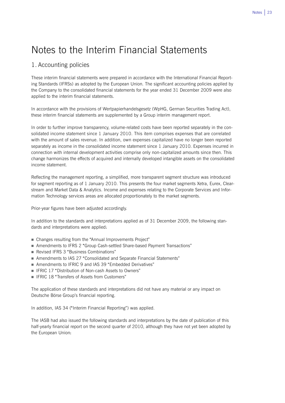## Notes to the Interim Financial Statements

## 1. Accounting policies

These interim financial statements were prepared in accordance with the International Financial Reporting Standards (IFRSs) as adopted by the European Union. The significant accounting policies applied by the Company to the consolidated financial statements for the year ended 31 December 2009 were also applied to the interim financial statements.

In accordance with the provisions of Wertpapierhandelsgesetz (WpHG, German Securities Trading Act), these interim financial statements are supplemented by a Group interim management report.

In order to further improve transparency, volume-related costs have been reported separately in the consolidated income statement since 1 January 2010. This item comprises expenses that are correlated with the amount of sales revenue. In addition, own expenses capitalized have no longer been reported separately as income in the consolidated income statement since 1 January 2010. Expenses incurred in connection with internal development activities comprise only non-capitalized amounts since then. This change harmonizes the effects of acquired and internally developed intangible assets on the consolidated income statement.

Reflecting the management reporting, a simplified, more transparent segment structure was introduced for segment reporting as of 1 January 2010. This presents the four market segments Xetra, Eurex, Clearstream and Market Data & Analytics. Income and expenses relating to the Corporate Services and Information Technology services areas are allocated proportionately to the market segments.

Prior-year figures have been adjusted accordingly.

In addition to the standards and interpretations applied as of 31 December 2009, the following standards and interpretations were applied:

- Changes resulting from the "Annual Improvements Project"
- Amendments to IFRS 2 "Group Cash-settled Share-based Payment Transactions"
- Revised IFRS 3 "Business Combinations"
- Amendments to IAS 27 "Consolidated and Separate Financial Statements"
- Amendments to IFRIC 9 and IAS 39 "Embedded Derivatives"
- IFRIC 17 "Distribution of Non-cash Assets to Owners"
- IFRIC 18 "Transfers of Assets from Customers"

The application of these standards and interpretations did not have any material or any impact on Deutsche Börse Group's financial reporting.

In addition, IAS 34 ("Interim Financial Reporting") was applied.

The IASB had also issued the following standards and interpretations by the date of publication of this half-yearly financial report on the second quarter of 2010, although they have not yet been adopted by the European Union: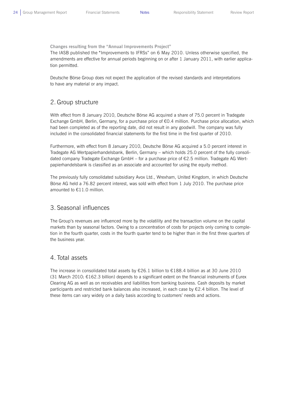**Changes resulting from the "Annual Improvements Project"** 

The IASB published the "Improvements to IFRSs" on 6 May 2010. Unless otherwise specified, the amendments are effective for annual periods beginning on or after 1 January 2011, with earlier application permitted.

Deutsche Börse Group does not expect the application of the revised standards and interpretations to have any material or any impact.

## 2. Group structure

With effect from 8 January 2010, Deutsche Börse AG acquired a share of 75.0 percent in Tradegate Exchange GmbH, Berlin, Germany, for a purchase price of €0.4 million. Purchase price allocation, which had been completed as of the reporting date, did not result in any goodwill. The company was fully included in the consolidated financial statements for the first time in the first quarter of 2010.

Furthermore, with effect from 8 January 2010, Deutsche Börse AG acquired a 5.0 percent interest in Tradegate AG Wertpapierhandelsbank, Berlin, Germany – which holds 25.0 percent of the fully consolidated company Tradegate Exchange GmbH – for a purchase price of €2.5 million. Tradegate AG Wertpapierhandelsbank is classified as an associate and accounted for using the equity method.

The previously fully consolidated subsidiary Avox Ltd., Wrexham, United Kingdom, in which Deutsche Börse AG held a 76.82 percent interest, was sold with effect from 1 July 2010. The purchase price amounted to €11.0 million.

## 3. Seasonal influences

The Group's revenues are influenced more by the volatility and the transaction volume on the capital markets than by seasonal factors. Owing to a concentration of costs for projects only coming to completion in the fourth quarter, costs in the fourth quarter tend to be higher than in the first three quarters of the business year.

## 4. Total assets

The increase in consolidated total assets by €26.1 billion to €188.4 billion as at 30 June 2010 (31 March 2010: €162.3 billion) depends to a significant extent on the financial instruments of Eurex Clearing AG as well as on receivables and liabilities from banking business. Cash deposits by market participants and restricted bank balances also increased, in each case by  $\epsilon$ 2.4 billion. The level of these items can vary widely on a daily basis according to customers' needs and actions.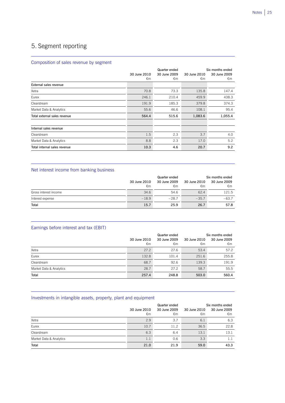## 5. Segment reporting

L

L

L

 $\overline{a}$ 

### Composition of sales revenue by segment

|                              | 30 June 2010<br>$\epsilon$ m | Quarter ended<br>30 June 2009<br>€m | 30 June 2010<br>€m | Six months ended<br>30 June 2009<br>€m |
|------------------------------|------------------------------|-------------------------------------|--------------------|----------------------------------------|
| External sales revenue       |                              |                                     |                    |                                        |
| Xetra                        | 70.8                         | 73.3                                | 135.8              | 147.4                                  |
| Eurex                        | 246.1                        | 210.4                               | 459.9              | 438.3                                  |
| Clearstream                  | 191.9                        | 185.3                               | 379.8              | 374.3                                  |
| Market Data & Analytics      | 55.6                         | 46.6                                | 108.1              | 95.4                                   |
| Total external sales revenue | 564.4                        | 515.6                               | 1,083.6            | 1,055.4                                |
| Internal sales revenue       |                              |                                     |                    |                                        |
| Clearstream                  | 1.5                          | 2.3                                 | 3.7                | 4.0                                    |
| Market Data & Analytics      | 8.8                          | 2.3                                 | 17.0               | 5.2                                    |
| Total internal sales revenue | 10.3                         | 4.6                                 | 20.7               | 9.2                                    |

### Net interest income from banking business

|                       | Quarter ended |              |              | Six months ended |  |
|-----------------------|---------------|--------------|--------------|------------------|--|
|                       | 30 June 2010  | 30 June 2009 | 30 June 2010 | 30 June 2009     |  |
|                       | €m            | €m           | €m           | €m               |  |
| Gross interest income | 34.6          | 54.6         | 62.4         | 121.5            |  |
| Interest expense      | $-18.9$       | $-28.7$      | $-35.7$      | $-63.7$          |  |
| Total                 | 15.7          | 25.9         | 26.7         | 57.8             |  |

### Earnings before interest and tax (EBIT)

|                         |                    | Quarter ended      | Six months ended   |                    |  |
|-------------------------|--------------------|--------------------|--------------------|--------------------|--|
|                         | 30 June 2010<br>€m | 30 June 2009<br>€m | 30 June 2010<br>€m | 30 June 2009<br>€m |  |
| Xetra                   | 27.2               | 27.6               | 53.4               | 57.2               |  |
| Eurex                   | 132.8              | 101.4              | 251.6              | 255.8              |  |
| Clearstream             | 68.7               | 92.6               | 139.3              | 191.9              |  |
| Market Data & Analytics | 28.7               | 27.2               | 58.7               | 55.5               |  |
| Total                   | 257.4              | 248.8              | 503.0              | 560.4              |  |

### Investments in intangible assets, property, plant and equipment

|                         | 30 June 2010<br>€m | Quarter ended<br>30 June 2009<br>€m | 30 June 2010<br>€m | Six months ended<br>30 June 2009<br>€m |
|-------------------------|--------------------|-------------------------------------|--------------------|----------------------------------------|
| Xetra                   | 2.9                | 3.7                                 | 6.1                | 6.3                                    |
| Eurex                   | 10.7               | 11.2                                | 36.5               | 22.8                                   |
| Clearstream             | 6.3                | 6.4                                 | 13.1               | 13.1                                   |
| Market Data & Analytics | 1.1                | 0.6                                 | 3.3                | 1.1                                    |
| Total                   | 21.0               | 21.9                                | 59.0               | 43.3                                   |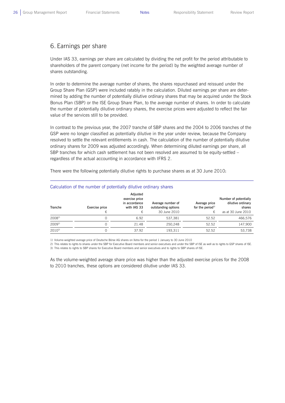L

## 6. Earnings per share

Under IAS 33, earnings per share are calculated by dividing the net profit for the period attributable to shareholders of the parent company (net income for the period) by the weighted average number of shares outstanding.

In order to determine the average number of shares, the shares repurchased and reissued under the Group Share Plan (GSP) were included ratably in the calculation. Diluted earnings per share are determined by adding the number of potentially dilutive ordinary shares that may be acquired under the Stock Bonus Plan (SBP) or the ISE Group Share Plan, to the average number of shares. In order to calculate the number of potentially dilutive ordinary shares, the exercise prices were adjusted to reflect the fair value of the services still to be provided.

In contrast to the previous year, the 2007 tranche of SBP shares and the 2004 to 2006 tranches of the GSP were no longer classified as potentially dilutive in the year under review, because the Company resolved to settle the relevant entitlements in cash. The calculation of the number of potentially dilutive ordinary shares for 2009 was adjusted accordingly. When determining diluted earnings per share, all SBP tranches for which cash settlement has not been resolved are assumed to be equity-settled – regardless of the actual accounting in accordance with IFRS 2.

There were the following potentially dilutive rights to purchase shares as at 30 June 2010:

| Tranche    | Exercise price<br>€ | Adjusted<br>exercise price<br>in accordance<br>with IAS 33<br>€ | Average number of<br>outstanding options<br>30 June 2010 | Average price<br>for the period <sup>1)</sup><br>€ | Number of potentially<br>dilutive ordinary<br>shares<br>as at 30 June 2010 |
|------------|---------------------|-----------------------------------------------------------------|----------------------------------------------------------|----------------------------------------------------|----------------------------------------------------------------------------|
| $2008^{2}$ |                     | 6.92                                                            | 537.381                                                  | 52.52                                              | 466,576                                                                    |
| $2009^{2}$ |                     | 21.48                                                           | 250.248                                                  | 52.52                                              | 147.900                                                                    |
| $2010^{3}$ |                     | 37.92                                                           | 193,311                                                  | 52.52                                              | 53,738                                                                     |

#### Calculation of the number of potentially dilutive ordinary shares

1) Volume-weighted average price of Deutsche Börse AG shares on Xetra for the period 1 January to 30 June 2010

2) This relates to rights to shares under the SBP for Executive Board members and senior executives and under the SBP of ISE as well as to rights to GSP shares of ISE. 3) This relates to rights to SBP shares for Executive Board members and senior executives and to rights to SBP shares of ISE.

As the volume-weighted average share price was higher than the adjusted exercise prices for the 2008 to 2010 tranches, these options are considered dilutive under IAS 33.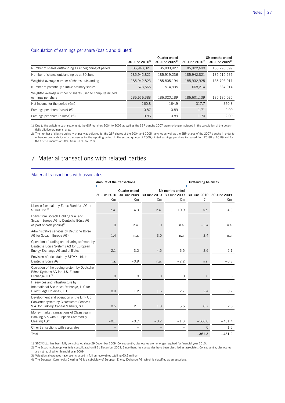#### Calculation of earnings per share (basic and diluted)

 $\overline{a}$ 

 $\overline{a}$ 

|                                                                                 | 30 June $2010^{11}$ | Quarter ended<br>30 June $2009^{2}$ | 30 June $2010^{11}$ | Six months ended<br>30 June 2009 <sup>2)</sup> |
|---------------------------------------------------------------------------------|---------------------|-------------------------------------|---------------------|------------------------------------------------|
| Number of shares outstanding as at beginning of period                          | 185,943,021         | 185,803,927                         | 185,922,690         | 185,790,599                                    |
| Number of shares outstanding as at 30 June                                      | 185,942,821         | 185,919,236                         | 185.942.821         | 185,919,236                                    |
| Weighted average number of shares outstanding                                   | 185,942,823         | 185,805,194                         | 185,932,925         | 185,798,011                                    |
| Number of potentially dilutive ordinary shares                                  | 673,565             | 514,995                             | 668,214             | 387,014                                        |
| Weighted average number of shares used to compute diluted<br>earnings per share | 186,616,388         | 186,320,189                         | 186,601,139         | 186,185,025                                    |
| Net income for the period $(\epsilon m)$                                        | 160.8               | 164.9                               | 317.7               | 370.8                                          |
| Earnings per share (basic) $(\epsilon)$                                         | 0.87                | 0.89                                | 1.71                | 2.00                                           |
| Earnings per share (diluted) $(E)$                                              | 0.86                | 0.89                                | 1.70                | 2.00                                           |

1) Due to the switch to cash settlement, the GSP tranches 2004 to 2006 as well as the SBP tranche 2007 were no longer included in the calculation of the potentially dilutive ordinary shares.

2) The number of dilutive ordinary shares was adjusted for the GSP shares of the 2004 and 2005 tranches as well as the SBP shares of the 2007 tranche in order to enhance comparability with disclosures for the reporting period. In the second quarter of 2009, diluted earnings per share increased from €0.88 to €0.89 and for the first six months of 2009 from €1.99 to €2.00.

## 7. Material transactions with related parties

#### Material transactions with associates

|                                                                                                                                | Amount of the transactions |                                     |                    |                                        | <b>Outstanding balances</b> |                    |
|--------------------------------------------------------------------------------------------------------------------------------|----------------------------|-------------------------------------|--------------------|----------------------------------------|-----------------------------|--------------------|
|                                                                                                                                | 30 June 2010<br>€m         | Quarter ended<br>30 June 2009<br>€m | 30 June 2010<br>€m | Six months ended<br>30 June 2009<br>€m | 30 June 2010<br>€m          | 30 June 2009<br>€m |
| License fees paid by Eurex Frankfurt AG to<br>$STOXX$ I td. $1$                                                                | n.a.                       | $-4.9$                              | n.a.               | $-10.9$                                | n.a.                        | $-4.9$             |
| Loans from Scoach Holding S.A. and<br>Scoach Europa AG to Deutsche Börse AG<br>as part of cash pooling <sup>2)</sup>           | $\overline{0}$             | n.a.                                | $\circ$            | n.a.                                   | $-3.4$                      | n.a.               |
| Administrative services by Deutsche Börse<br>AG for Scoach Europa AG <sup>2)</sup>                                             | 1.4                        | n.a.                                | 3.0                | n.a.                                   | 2.4                         | n.a.               |
| Operation of trading and clearing software by<br>Deutsche Börse Systems AG for European<br>Energy Exchange AG and affiliates   | 2.1                        | 3.0                                 | 4.5                | 6.5                                    | 2.6                         | 2.1                |
| Provision of price data by STOXX Ltd. to<br>Deutsche Börse AG <sup>1)</sup>                                                    | n.a.                       | $-0.9$                              | n.a.               | $-2.2$                                 | n.a.                        | $-0.8$             |
| Operation of the trading system by Deutsche<br>Börse Systems AG for U.S. Futures<br>Exchange LLC <sup>3)</sup>                 | $\overline{0}$             | $\circ$                             | $\overline{O}$     | 0                                      | $\overline{O}$              | $\circ$            |
| IT services and infrastructure by<br>International Securities Exchange, LLC for<br>Direct Edge Holdings, LLC                   | 0.9                        | 1.2                                 | 1.6                | 2.7                                    | 2.4                         | 0.2                |
| Development and operation of the Link Up<br>Converter system by Clearstream Services<br>S.A. for Link-Up Capital Markets, S.L. | 0.5                        | 2.1                                 | 1.0                | 5.6                                    | 0.7                         | 2.0                |
| Money market transactions of Clearstream<br>Banking S.A.with European Commodity<br>Clearing AG <sup>4)</sup>                   | $-0.1$                     | $-0.7$                              | $-0.2$             | $-1.3$                                 | $-366.0$                    | $-431.4$           |
| Other transactions with associates                                                                                             |                            | ۰                                   |                    | $\overline{\phantom{0}}$               | $\mathbf{0}$                | 1.6                |
| Total                                                                                                                          |                            |                                     |                    |                                        | $-361.3$                    | $-431.2$           |

1) STOXX Ltd. has been fully consolidated since 29 December 2009. Consequently, disclosures are no longer required for financial year 2010.

2) The Scoach subgroup was fully consolidated until 31 December 2009. Since then, the companies have been classified as associates. Consequently, disclosures are not required for financial year 2009.

3) Valuation allowances have been charged in full on receivables totalling €0.2 million.

4) The European Commodity Clearing AG is a subsidiary of European Energy Exchange AG, which is classified as an associate.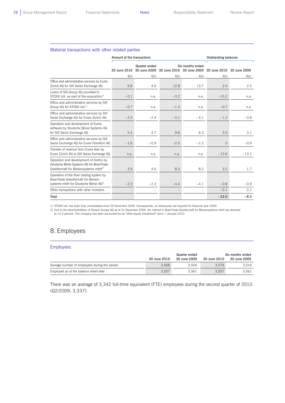L

### Material transactions with other related parties

|                                                                                                                                        | Amount of the transactions                                                                                         |        |              |        | <b>Outstanding balances</b> |         |
|----------------------------------------------------------------------------------------------------------------------------------------|--------------------------------------------------------------------------------------------------------------------|--------|--------------|--------|-----------------------------|---------|
|                                                                                                                                        | Six months ended<br>Quarter ended<br>30 June 2010 30 June 2009 30 June 2010 30 June 2009 30 June 2010 30 June 2009 |        |              |        |                             |         |
|                                                                                                                                        | €m                                                                                                                 | €m     | $\epsilon$ m | €m     | €m                          | €m      |
| Office and administrative services by Eurex<br>Zürich AG for SIX Swiss Exchange AG                                                     | 5.8                                                                                                                | 4.0    | 12.8         | 13.7   | 2.4                         | 2.5     |
| Loans of SIX Group AG provided to<br>STOXX Ltd. as part of the acquisition <sup>1)</sup>                                               | $-0.1$                                                                                                             | n.a.   | $-0.2$       | n.a.   | $-15.2$                     | n.a.    |
| Office and administrative services by SIX<br>Group AG for STOXX Ltd. <sup>1)</sup>                                                     | $-0.7$                                                                                                             | n.a.   | $-1.4$       | n.a.   | $-0.7$                      | n.a.    |
| Office and administrative services by SIX<br>Swiss Exchange AG for Eurex Zürich AG                                                     | $-2.3$                                                                                                             | $-2.4$ | $-4.1$       | $-4.1$ | $-1.2$                      | $-0.8$  |
| Operation and development of Eurex<br>software by Deutsche Börse Systems AG<br>for SIX Swiss Exchange AG                               | 5.4                                                                                                                | 4.7    | 9.8          | 6.3    | 3.0                         | 3.1     |
| Office and administrative services by SIX<br>Swiss Exchange AG for Eurex Frankfurt AG                                                  | $-1.6$                                                                                                             | $-0.9$ | $-2.5$       | $-2.2$ | $\circ$                     | $-0.9$  |
| Transfer of revenue from Eurex fees by<br>Eurex Zürich AG to SIX Swiss Exchange AG                                                     | n.a.                                                                                                               | n.a.   | n.a.         | n.a.   | $-13.6$                     | $-13.1$ |
| Operation and development of Xontro by<br>Deutsche Börse Systems AG for BrainTrade<br>Gesellschaft für Börsensysteme mbH <sup>2)</sup> | 3.9                                                                                                                | 4.0    | 8.3          | 8.2    | 3.2                         | 1.7     |
| Operation of the floor trading system by<br>BrainTrade Gesellschaft für Börsen-<br>systeme mbH for Deutsche Börse AG <sup>2)</sup>     | $-2.3$                                                                                                             | $-2.3$ | $-4.4$       | $-4.1$ | $-0.8$                      | $-0.9$  |
| Other transactions with other investors                                                                                                |                                                                                                                    |        |              |        | $-0.1$                      | 0.1     |
| Total                                                                                                                                  |                                                                                                                    |        |              |        | $-23.0$                     | $-8.3$  |

1) STOXX Ltd. has been fully consolidated since 29 December 2009. Consequently, no disclosures are required for financial year 2009.

2) Due to the deconsolidation of Scoach Europa AG as of 31 December 2009, the interest in BrainTrade Gesellschaft für Börsensysteme mbH has declined<br>to 14.3 percent. The company has been accounted for as "other equity inve

## 8. Employees

#### Employees

L

|                                               | 30 June 2010 | Quarter ended<br>30 June 2009 | 30 June 2010 | Six months ended<br>30 June 2009 |
|-----------------------------------------------|--------------|-------------------------------|--------------|----------------------------------|
| Average number of employees during the period | 3.568        | 3.554                         | 3.579        | 3.516                            |
| Employed as at the balance sheet date         | 3.557        | 3.561                         | 3.557        | 3.561                            |

There was an average of 3,342 full-time equivalent (FTE) employees during the second quarter of 2010 (Q2/2009: 3,337).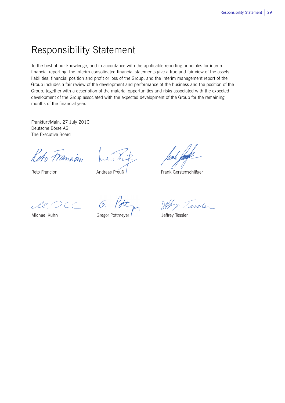## Responsibility Statement

To the best of our knowledge, and in accordance with the applicable reporting principles for interim financial reporting, the interim consolidated financial statements give a true and fair view of the assets, liabilities, financial position and profit or loss of the Group, and the interim management report of the Group includes a fair review of the development and performance of the business and the position of the Group, together with a description of the material opportunities and risks associated with the expected development of the Group associated with the expected development of the Group for the remaining months of the financial year.

Frankfurt/Main, 27 July 2010 Deutsche Börse AG The Executive Board

Reto Francion

Reto Francioni

Andreas Preuß

Frank Gerstenschläger

 $2C$ le C

Michael Kuhn

Gregor Pottmeyer

Tessler

Jeffrey Tessler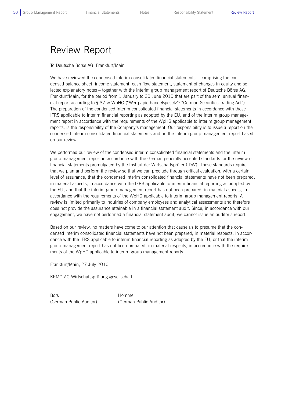## Review Report

To Deutsche Börse AG, Frankfurt/Main

We have reviewed the condensed interim consolidated financial statements – comprising the condensed balance sheet, income statement, cash flow statement, statement of changes in equity and selected explanatory notes – together with the interim group management report of Deutsche Börse AG, Frankfurt/Main, for the period from 1 January to 30 June 2010 that are part of the semi annual financial report according to § 37 w WpHG ("Wertpapierhandelsgesetz": "German Securities Trading Act"). The preparation of the condensed interim consolidated financial statements in accordance with those IFRS applicable to interim financial reporting as adopted by the EU, and of the interim group management report in accordance with the requirements of the WpHG applicable to interim group management reports, is the responsibility of the Company's management. Our responsibility is to issue a report on the condensed interim consolidated financial statements and on the interim group management report based on our review.

We performed our review of the condensed interim consolidated financial statements and the interim group management report in accordance with the German generally accepted standards for the review of financial statements promulgated by the Institut der Wirtschaftsprüfer (IDW). Those standards require that we plan and perform the review so that we can preclude through critical evaluation, with a certain level of assurance, that the condensed interim consolidated financial statements have not been prepared, in material aspects, in accordance with the IFRS applicable to interim financial reporting as adopted by the EU, and that the interim group management report has not been prepared, in material aspects, in accordance with the requirements of the WpHG applicable to interim group management reports. A review is limited primarily to inquiries of company employees and analytical assessments and therefore does not provide the assurance attainable in a financial statement audit. Since, in accordance with our engagement, we have not performed a financial statement audit, we cannot issue an auditor's report.

Based on our review, no matters have come to our attention that cause us to presume that the condensed interim consolidated financial statements have not been prepared, in material respects, in accordance with the IFRS applicable to interim financial reporting as adopted by the EU, or that the interim group management report has not been prepared, in material respects, in accordance with the requirements of the WpHG applicable to interim group management reports.

Frankfurt/Main, 27 July 2010

KPMG AG Wirtschaftsprüfungsgesellschaft

Bors Hommel (German Public Auditor) (German Public Auditor)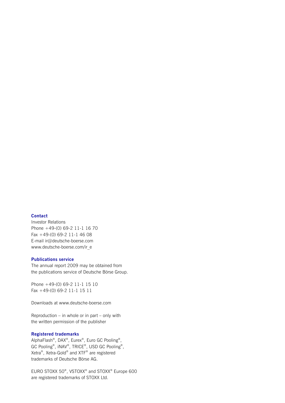#### **Contact**

Investor Relations Phone +49-(0) 69-2 11-1 16 70 Fax +49-(0) 69-2 11-1 46 08 E-mail ir@deutsche-boerse.com www.deutsche-boerse.com/ir\_e

#### **Publications service**

The annual report 2009 may be obtained from the publications service of Deutsche Börse Group.

Phone +49-(0) 69-2 11-1 15 10 Fax +49-(0) 69-2 11-1 15 11

Downloads at www.deutsche-boerse.com

Reproduction – in whole or in part – only with the written permission of the publisher

#### **Registered trademarks**

AlphaFlash®, DAX®, Eurex®, Euro GC Pooling®, GC Pooling®, iNAV®, TRICE®, USD GC Pooling®, Xetra®, Xetra-Gold® and XTF® are registered trademarks of Deutsche Börse AG.

EURO STOXX 50®, VSTOXX® and STOXX® Europe 600 are registered trademarks of STOXX Ltd.